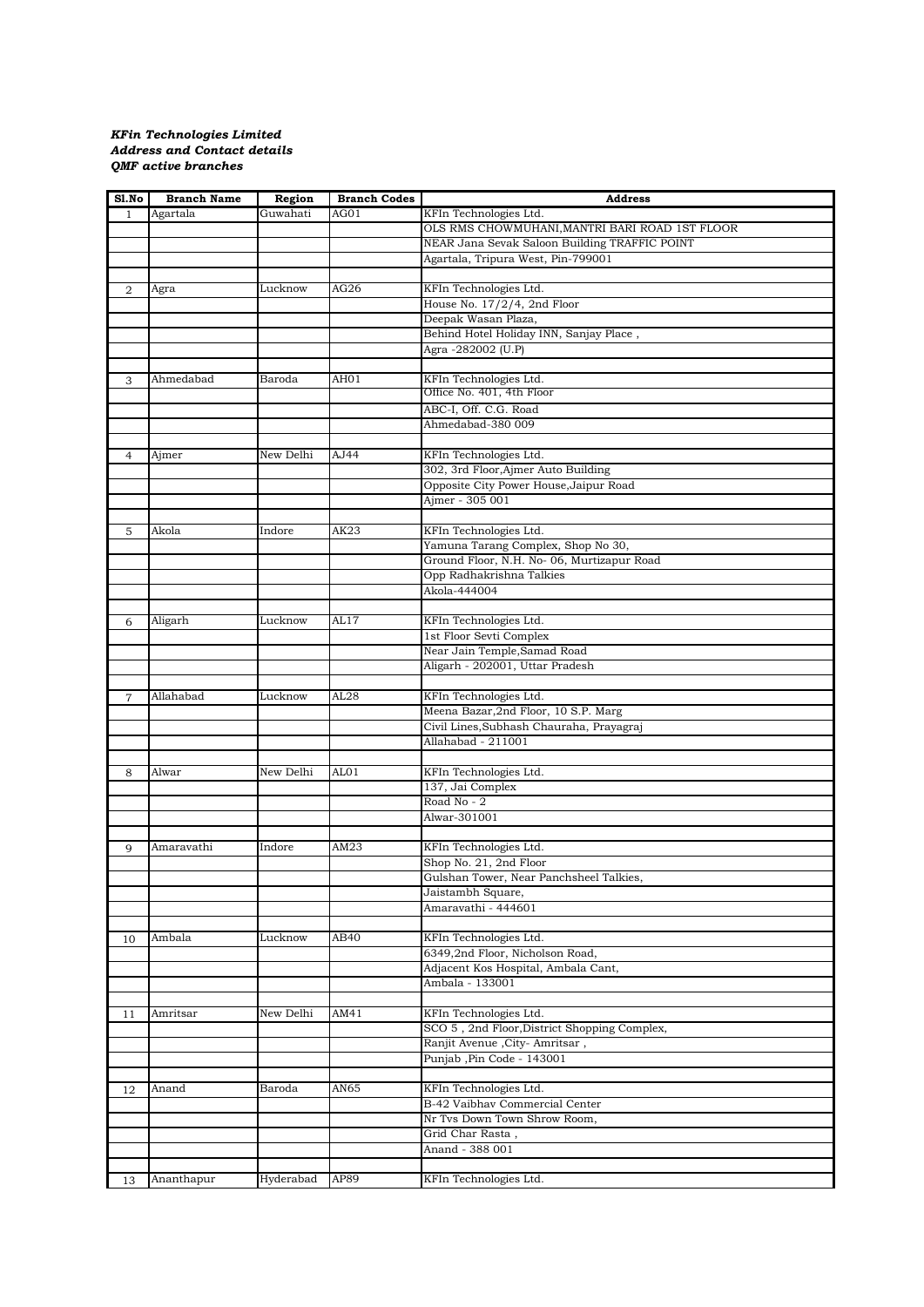## *KFin Technologies Limited Address and Contact details QMF active branches*

| Sl.No          | <b>Branch Name</b> | Region    | <b>Branch Codes</b> | <b>Address</b>                                      |
|----------------|--------------------|-----------|---------------------|-----------------------------------------------------|
| $\mathbf{1}$   | Agartala           | Guwahati  | AG01                | KFIn Technologies Ltd.                              |
|                |                    |           |                     | OLS RMS CHOWMUHANI, MANTRI BARI ROAD 1ST FLOOR      |
|                |                    |           |                     | NEAR Jana Sevak Saloon Building TRAFFIC POINT       |
|                |                    |           |                     | Agartala, Tripura West, Pin-799001                  |
|                |                    |           |                     |                                                     |
| 2              | Agra               | Lucknow   | AG26                | KFIn Technologies Ltd.                              |
|                |                    |           |                     | House No. 17/2/4, 2nd Floor                         |
|                |                    |           |                     | Deepak Wasan Plaza,                                 |
|                |                    |           |                     | Behind Hotel Holiday INN, Sanjay Place,             |
|                |                    |           |                     | Agra -282002 (U.P)                                  |
|                |                    |           |                     |                                                     |
|                |                    |           |                     |                                                     |
| 3              | Ahmedabad          | Baroda    | AH01                | KFIn Technologies Ltd.<br>Office No. 401, 4th Floor |
|                |                    |           |                     |                                                     |
|                |                    |           |                     | ABC-I, Off. C.G. Road                               |
|                |                    |           |                     | Ahmedabad-380 009                                   |
|                |                    |           |                     |                                                     |
| $\overline{4}$ | Ajmer              | New Delhi | AJ44                | KFIn Technologies Ltd.                              |
|                |                    |           |                     | 302, 3rd Floor, Ajmer Auto Building                 |
|                |                    |           |                     | Opposite City Power House, Jaipur Road              |
|                |                    |           |                     | Ajmer - 305 001                                     |
|                |                    |           |                     |                                                     |
| 5              | Akola              | Indore    | AK23                | KFIn Technologies Ltd.                              |
|                |                    |           |                     | Yamuna Tarang Complex, Shop No 30,                  |
|                |                    |           |                     | Ground Floor, N.H. No- 06, Murtizapur Road          |
|                |                    |           |                     | Opp Radhakrishna Talkies                            |
|                |                    |           |                     | Akola-444004                                        |
|                |                    |           |                     |                                                     |
| 6              | Aligarh            | Lucknow   | AL17                | KFIn Technologies Ltd.                              |
|                |                    |           |                     | 1st Floor Sevti Complex                             |
|                |                    |           |                     | Near Jain Temple, Samad Road                        |
|                |                    |           |                     |                                                     |
|                |                    |           |                     | Aligarh - 202001, Uttar Pradesh                     |
|                |                    |           |                     |                                                     |
| $\overline{7}$ | Allahabad          | Lucknow   | AL28                | KFIn Technologies Ltd.                              |
|                |                    |           |                     | Meena Bazar, 2nd Floor, 10 S.P. Marg                |
|                |                    |           |                     | Civil Lines, Subhash Chauraha, Prayagraj            |
|                |                    |           |                     | Allahabad - 211001                                  |
|                |                    |           |                     |                                                     |
| 8              | Alwar              | New Delhi | AL01                | KFIn Technologies Ltd.                              |
|                |                    |           |                     | 137, Jai Complex                                    |
|                |                    |           |                     | Road No - 2                                         |
|                |                    |           |                     | Alwar-301001                                        |
|                |                    |           |                     |                                                     |
| 9              | Amaravathi         | Indore    | AM23                | KFIn Technologies Ltd.                              |
|                |                    |           |                     | Shop No. 21, 2nd Floor                              |
|                |                    |           |                     | Gulshan Tower, Near Panchsheel Talkies,             |
|                |                    |           |                     | Jaistambh Square,                                   |
|                |                    |           |                     | Amaravathi - 444601                                 |
|                |                    |           |                     |                                                     |
| 10             | Ambala             | Lucknow   | AB40                | KFIn Technologies Ltd.                              |
|                |                    |           |                     | 6349,2nd Floor, Nicholson Road,                     |
|                |                    |           |                     | Adjacent Kos Hospital, Ambala Cant,                 |
|                |                    |           |                     | Ambala - 133001                                     |
|                |                    |           |                     |                                                     |
|                |                    |           |                     |                                                     |
| 11             | Amritsar           | New Delhi | AM41                | KFIn Technologies Ltd.                              |
|                |                    |           |                     | SCO 5, 2nd Floor, District Shopping Complex,        |
|                |                    |           |                     | Ranjit Avenue , City- Amritsar,                     |
|                |                    |           |                     | Punjab, Pin Code - 143001                           |
|                |                    |           |                     |                                                     |
| 12             | Anand              | Baroda    | AN65                | KFIn Technologies Ltd.                              |
|                |                    |           |                     | B-42 Vaibhav Commercial Center                      |
|                |                    |           |                     | Nr Tvs Down Town Shrow Room,                        |
|                |                    |           |                     | Grid Char Rasta,                                    |
|                |                    |           |                     | Anand - 388 001                                     |
|                |                    |           |                     |                                                     |
| 13             | Ananthapur         | Hyderabad | AP89                | KFIn Technologies Ltd.                              |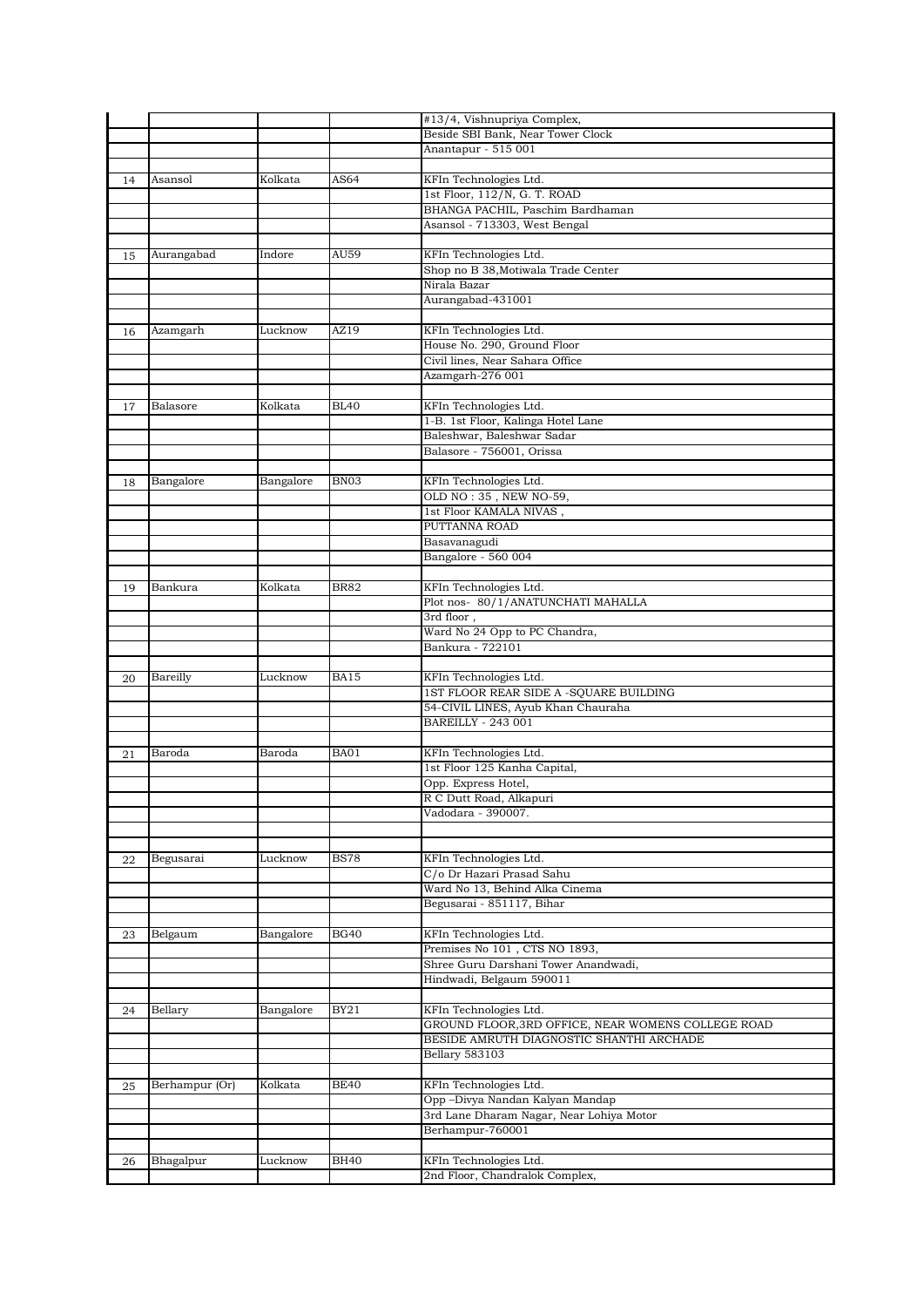|    |                |           |             | #13/4, Vishnupriya Complex,                        |
|----|----------------|-----------|-------------|----------------------------------------------------|
|    |                |           |             | Beside SBI Bank, Near Tower Clock                  |
|    |                |           |             | Anantapur - 515 001                                |
|    |                |           |             |                                                    |
| 14 | Asansol        | Kolkata   | AS64        | KFIn Technologies Ltd.                             |
|    |                |           |             | 1st Floor, 112/N, G. T. ROAD                       |
|    |                |           |             | BHANGA PACHIL, Paschim Bardhaman                   |
|    |                |           |             | Asansol - 713303, West Bengal                      |
|    |                |           |             |                                                    |
| 15 | Aurangabad     | Indore    | AU59        | KFIn Technologies Ltd.                             |
|    |                |           |             | Shop no B 38, Motiwala Trade Center                |
|    |                |           |             | Nirala Bazar                                       |
|    |                |           |             | Aurangabad-431001                                  |
|    |                |           |             |                                                    |
| 16 | Azamgarh       | Lucknow   | AZ19        | KFIn Technologies Ltd.                             |
|    |                |           |             | House No. 290, Ground Floor                        |
|    |                |           |             | Civil lines, Near Sahara Office                    |
|    |                |           |             | Azamgarh-276 001                                   |
|    |                |           |             |                                                    |
| 17 | Balasore       | Kolkata   | <b>BL40</b> | KFIn Technologies Ltd.                             |
|    |                |           |             | 1-B. 1st Floor, Kalinga Hotel Lane                 |
|    |                |           |             | Baleshwar, Baleshwar Sadar                         |
|    |                |           |             | Balasore - 756001, Orissa                          |
|    |                |           |             |                                                    |
| 18 | Bangalore      | Bangalore | BN03        | KFIn Technologies Ltd.                             |
|    |                |           |             | OLD NO: 35, NEW NO-59,                             |
|    |                |           |             | 1st Floor KAMALA NIVAS,                            |
|    |                |           |             | PUTTANNA ROAD                                      |
|    |                |           |             | Basavanagudi                                       |
|    |                |           |             | Bangalore - 560 004                                |
|    |                |           |             |                                                    |
| 19 | Bankura        | Kolkata   | <b>BR82</b> | KFIn Technologies Ltd.                             |
|    |                |           |             | Plot nos-80/1/ANATUNCHATI MAHALLA                  |
|    |                |           |             | 3rd floor,                                         |
|    |                |           |             | Ward No 24 Opp to PC Chandra,                      |
|    |                |           |             | Bankura - 722101                                   |
|    |                |           |             |                                                    |
| 20 | Bareilly       | Lucknow   | <b>BA15</b> | KFIn Technologies Ltd.                             |
|    |                |           |             | 1ST FLOOR REAR SIDE A -SQUARE BUILDING             |
|    |                |           |             | 54-CIVIL LINES, Ayub Khan Chauraha                 |
|    |                |           |             | <b>BAREILLY - 243 001</b>                          |
|    |                |           |             |                                                    |
| 21 | Baroda         | Baroda    | <b>BA01</b> | KFIn Technologies Ltd.                             |
|    |                |           |             | 1st Floor 125 Kanha Capital,                       |
|    |                |           |             | Opp. Express Hotel,                                |
|    |                |           |             | R C Dutt Road, Alkapuri                            |
|    |                |           |             | Vadodara - 390007.                                 |
|    |                |           |             |                                                    |
|    |                |           |             |                                                    |
| 22 | Begusarai      | Lucknow   | <b>BS78</b> | KFIn Technologies Ltd.                             |
|    |                |           |             | C/o Dr Hazari Prasad Sahu                          |
|    |                |           |             | Ward No 13, Behind Alka Cinema                     |
|    |                |           |             | Begusarai - 851117, Bihar                          |
|    |                |           |             |                                                    |
| 23 | Belgaum        | Bangalore | <b>BG40</b> | KFIn Technologies Ltd.                             |
|    |                |           |             | Premises No 101, CTS NO 1893,                      |
|    |                |           |             | Shree Guru Darshani Tower Anandwadi,               |
|    |                |           |             | Hindwadi, Belgaum 590011                           |
|    |                |           |             |                                                    |
| 24 | Bellary        | Bangalore | <b>BY21</b> | KFIn Technologies Ltd.                             |
|    |                |           |             | GROUND FLOOR, 3RD OFFICE, NEAR WOMENS COLLEGE ROAD |
|    |                |           |             | BESIDE AMRUTH DIAGNOSTIC SHANTHI ARCHADE           |
|    |                |           |             | <b>Bellary 583103</b>                              |
|    |                |           |             |                                                    |
| 25 | Berhampur (Or) | Kolkata   | <b>BE40</b> | KFIn Technologies Ltd.                             |
|    |                |           |             | Opp -Divya Nandan Kalyan Mandap                    |
|    |                |           |             | 3rd Lane Dharam Nagar, Near Lohiya Motor           |
|    |                |           |             | Berhampur-760001                                   |
|    |                |           |             |                                                    |
| 26 | Bhagalpur      | Lucknow   | <b>BH40</b> | KFIn Technologies Ltd.                             |
|    |                |           |             | 2nd Floor, Chandralok Complex,                     |
|    |                |           |             |                                                    |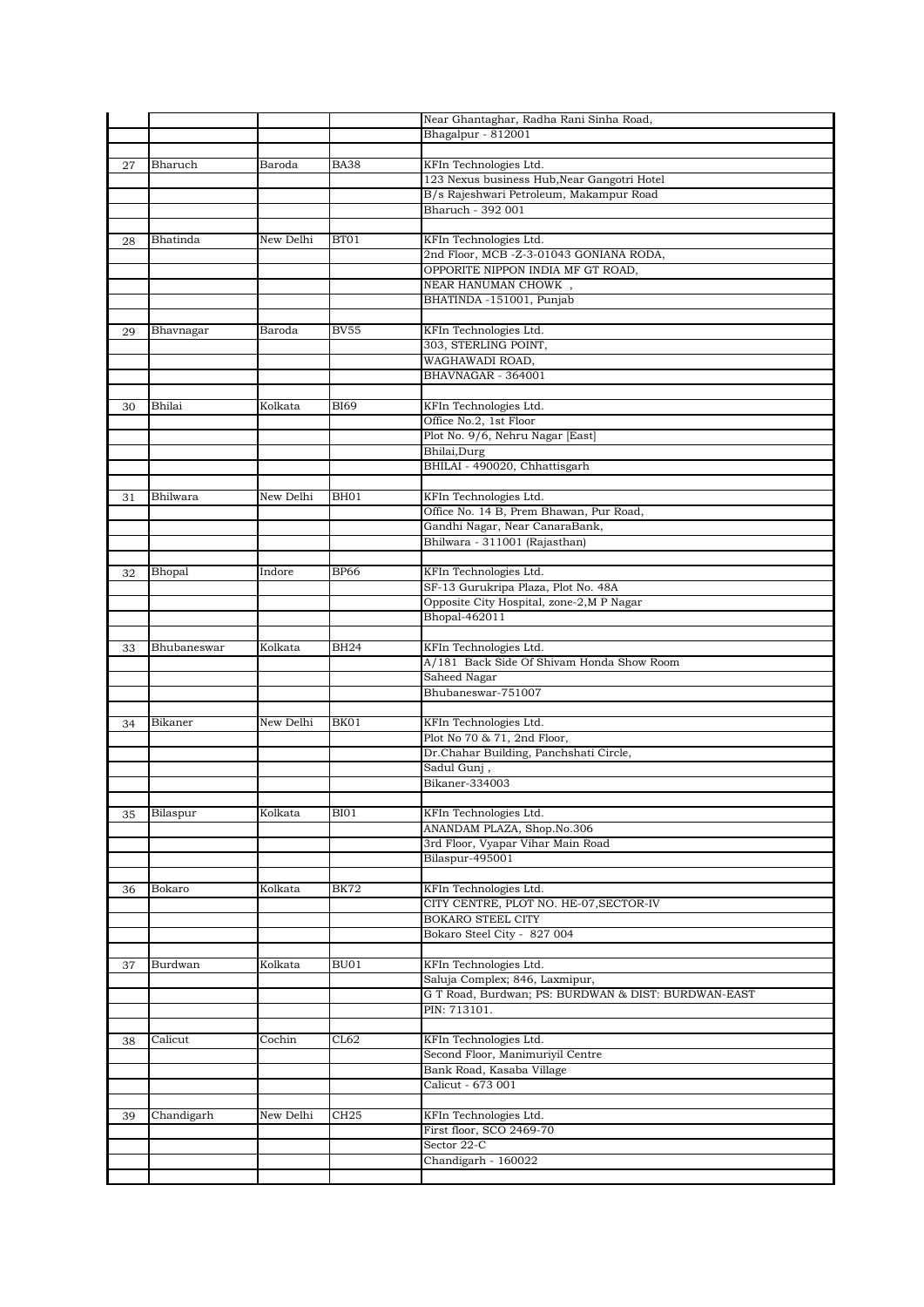|    |             |           |                  | Near Ghantaghar, Radha Rani Sinha Road,             |
|----|-------------|-----------|------------------|-----------------------------------------------------|
|    |             |           |                  | Bhagalpur - 812001                                  |
|    |             |           |                  |                                                     |
| 27 | Bharuch     | Baroda    | <b>BA38</b>      | KFIn Technologies Ltd.                              |
|    |             |           |                  | 123 Nexus business Hub, Near Gangotri Hotel         |
|    |             |           |                  | B/s Rajeshwari Petroleum, Makampur Road             |
|    |             |           |                  | Bharuch - 392 001                                   |
|    |             |           |                  |                                                     |
| 28 | Bhatinda    | New Delhi | BT01             | KFIn Technologies Ltd.                              |
|    |             |           |                  | 2nd Floor, MCB -Z-3-01043 GONIANA RODA,             |
|    |             |           |                  | OPPORITE NIPPON INDIA MF GT ROAD,                   |
|    |             |           |                  | NEAR HANUMAN CHOWK,                                 |
|    |             |           |                  | BHATINDA -151001, Punjab                            |
|    |             |           |                  |                                                     |
|    | Bhavnagar   | Baroda    | <b>BV55</b>      | KFIn Technologies Ltd.                              |
| 29 |             |           |                  | 303, STERLING POINT,                                |
|    |             |           |                  | WAGHAWADI ROAD,                                     |
|    |             |           |                  |                                                     |
|    |             |           |                  | BHAVNAGAR - 364001                                  |
|    |             |           |                  |                                                     |
| 30 | Bhilai      | Kolkata   | <b>BI69</b>      | KFIn Technologies Ltd.                              |
|    |             |           |                  | Office No.2, 1st Floor                              |
|    |             |           |                  | Plot No. 9/6, Nehru Nagar [East]                    |
|    |             |           |                  | Bhilai, Durg                                        |
|    |             |           |                  | BHILAI - 490020, Chhattisgarh                       |
|    |             |           |                  |                                                     |
| 31 | Bhilwara    | New Delhi | BH01             | KFIn Technologies Ltd.                              |
|    |             |           |                  | Office No. 14 B, Prem Bhawan, Pur Road,             |
|    |             |           |                  | Gandhi Nagar, Near CanaraBank,                      |
|    |             |           |                  | Bhilwara - 311001 (Rajasthan)                       |
|    |             |           |                  |                                                     |
| 32 | Bhopal      | Indore    | <b>BP66</b>      | KFIn Technologies Ltd.                              |
|    |             |           |                  | SF-13 Gurukripa Plaza, Plot No. 48A                 |
|    |             |           |                  | Opposite City Hospital, zone-2,M P Nagar            |
|    |             |           |                  | Bhopal-462011                                       |
|    |             |           |                  |                                                     |
|    | Bhubaneswar | Kolkata   | <b>BH24</b>      | KFIn Technologies Ltd.                              |
| 33 |             |           |                  | A/181 Back Side Of Shivam Honda Show Room           |
|    |             |           |                  |                                                     |
|    |             |           |                  | Saheed Nagar                                        |
|    |             |           |                  | Bhubaneswar-751007                                  |
|    |             |           |                  |                                                     |
| 34 | Bikaner     | New Delhi | BK01             | KFIn Technologies Ltd.                              |
|    |             |           |                  | Plot No 70 & 71, 2nd Floor,                         |
|    |             |           |                  | Dr.Chahar Building, Panchshati Circle,              |
|    |             |           |                  | Sadul Gunj,                                         |
|    |             |           |                  | Bikaner-334003                                      |
|    |             |           |                  |                                                     |
| 35 | Bilaspur    | Kolkata   | BI01             | KFIn Technologies Ltd.                              |
|    |             |           |                  | ANANDAM PLAZA, Shop.No.306                          |
|    |             |           |                  | 3rd Floor, Vyapar Vihar Main Road                   |
|    |             |           |                  | Bilaspur-495001                                     |
|    |             |           |                  |                                                     |
| 36 | Bokaro      | Kolkata   | <b>BK72</b>      | KFIn Technologies Ltd.                              |
|    |             |           |                  | CITY CENTRE, PLOT NO. HE-07, SECTOR-IV              |
|    |             |           |                  | <b>BOKARO STEEL CITY</b>                            |
|    |             |           |                  | Bokaro Steel City - 827 004                         |
|    |             |           |                  |                                                     |
| 37 | Burdwan     | Kolkata   | BU01             | KFIn Technologies Ltd.                              |
|    |             |           |                  | Saluja Complex; 846, Laxmipur,                      |
|    |             |           |                  | G T Road, Burdwan; PS: BURDWAN & DIST: BURDWAN-EAST |
|    |             |           |                  | PIN: 713101.                                        |
|    |             |           |                  |                                                     |
|    |             |           |                  |                                                     |
| 38 | Calicut     | Cochin    | CL62             | KFIn Technologies Ltd.                              |
|    |             |           |                  | Second Floor, Manimuriyil Centre                    |
|    |             |           |                  | Bank Road, Kasaba Village                           |
|    |             |           |                  | Calicut - 673 001                                   |
|    |             |           |                  |                                                     |
| 39 | Chandigarh  | New Delhi | CH <sub>25</sub> | KFIn Technologies Ltd.                              |
|    |             |           |                  | First floor, SCO 2469-70                            |
|    |             |           |                  | Sector 22-C                                         |
|    |             |           |                  | Chandigarh - 160022                                 |
|    |             |           |                  |                                                     |
|    |             |           |                  |                                                     |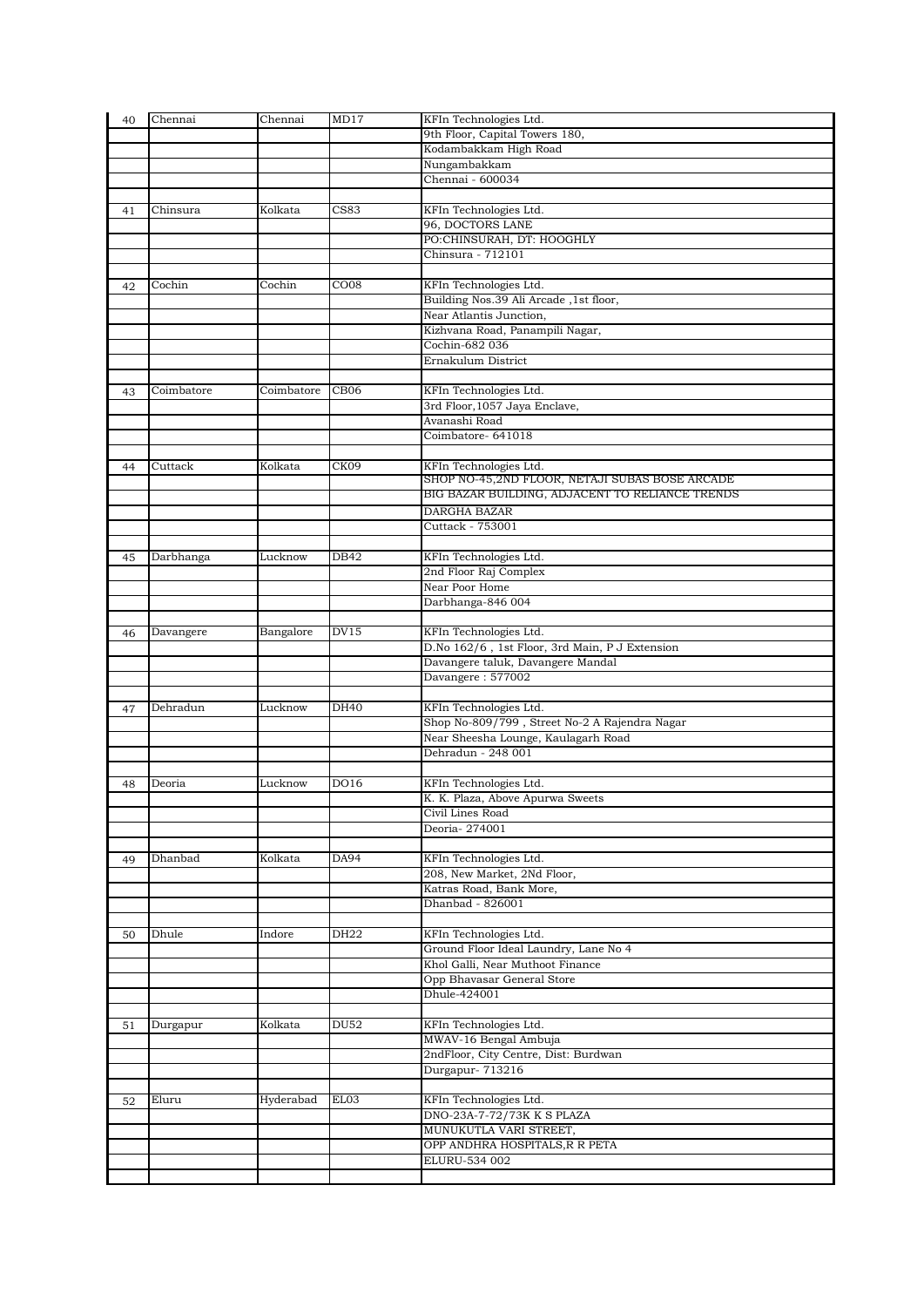| 40 | Chennai    | Chennai    | MD17             | KFIn Technologies Ltd.                                 |
|----|------------|------------|------------------|--------------------------------------------------------|
|    |            |            |                  | 9th Floor, Capital Towers 180,                         |
|    |            |            |                  | Kodambakkam High Road                                  |
|    |            |            |                  | Nungambakkam                                           |
|    |            |            |                  | Chennai - 600034                                       |
|    |            |            |                  |                                                        |
| 41 | Chinsura   | Kolkata    | CS83             | KFIn Technologies Ltd.                                 |
|    |            |            |                  | 96, DOCTORS LANE                                       |
|    |            |            |                  | PO:CHINSURAH, DT: HOOGHLY<br>Chinsura - 712101         |
|    |            |            |                  |                                                        |
| 42 | Cochin     | Cochin     | CO <sub>08</sub> | KFIn Technologies Ltd.                                 |
|    |            |            |                  | Building Nos.39 Ali Arcade, 1st floor,                 |
|    |            |            |                  | Near Atlantis Junction,                                |
|    |            |            |                  | Kizhvana Road, Panampili Nagar,                        |
|    |            |            |                  | Cochin-682 036                                         |
|    |            |            |                  | Ernakulum District                                     |
|    |            |            |                  |                                                        |
| 43 | Coimbatore | Coimbatore | CB <sub>06</sub> | KFIn Technologies Ltd.                                 |
|    |            |            |                  | 3rd Floor, 1057 Jaya Enclave,                          |
|    |            |            |                  | Avanashi Road                                          |
|    |            |            |                  | Coimbatore-641018                                      |
|    |            |            |                  |                                                        |
| 44 | Cuttack    | Kolkata    | CK09             | KFIn Technologies Ltd.                                 |
|    |            |            |                  | SHOP NO-45,2ND FLOOR, NETAJI SUBAS BOSE ARCADE         |
|    |            |            |                  | BIG BAZAR BUILDING, ADJACENT TO RELIANCE TRENDS        |
|    |            |            |                  | DARGHA BAZAR                                           |
|    |            |            |                  | Cuttack - 753001                                       |
|    |            |            |                  |                                                        |
| 45 | Darbhanga  | Lucknow    | DB42             | KFIn Technologies Ltd.                                 |
|    |            |            |                  | 2nd Floor Raj Complex<br>Near Poor Home                |
|    |            |            |                  | Darbhanga-846 004                                      |
|    |            |            |                  |                                                        |
| 46 | Davangere  | Bangalore  | <b>DV15</b>      | KFIn Technologies Ltd.                                 |
|    |            |            |                  | D.No 162/6, 1st Floor, 3rd Main, P J Extension         |
|    |            |            |                  | Davangere taluk, Davangere Mandal                      |
|    |            |            |                  | Davangere: 577002                                      |
|    |            |            |                  |                                                        |
| 47 | Dehradun   | Lucknow    | DH40             | KFIn Technologies Ltd.                                 |
|    |            |            |                  | Shop No-809/799, Street No-2 A Rajendra Nagar          |
|    |            |            |                  | Near Sheesha Lounge, Kaulagarh Road                    |
|    |            |            |                  | Dehradun - 248 001                                     |
|    |            |            |                  |                                                        |
| 48 | Deoria     | Lucknow    | DO16             | KFIn Technologies Ltd.                                 |
|    |            |            |                  | K. K. Plaza, Above Apurwa Sweets                       |
|    |            |            |                  | Civil Lines Road                                       |
|    |            |            |                  | Deoria-274001                                          |
|    |            |            |                  |                                                        |
| 49 | Dhanbad    | Kolkata    | DA94             | KFIn Technologies Ltd.                                 |
|    |            |            |                  | 208, New Market, 2Nd Floor,<br>Katras Road, Bank More, |
|    |            |            |                  | Dhanbad - 826001                                       |
|    |            |            |                  |                                                        |
| 50 | Dhule      | Indore     | DH22             | KFIn Technologies Ltd.                                 |
|    |            |            |                  | Ground Floor Ideal Laundry, Lane No 4                  |
|    |            |            |                  | Khol Galli, Near Muthoot Finance                       |
|    |            |            |                  | Opp Bhavasar General Store                             |
|    |            |            |                  | Dhule-424001                                           |
|    |            |            |                  |                                                        |
| 51 | Durgapur   | Kolkata    | <b>DU52</b>      | KFIn Technologies Ltd.                                 |
|    |            |            |                  | MWAV-16 Bengal Ambuja                                  |
|    |            |            |                  | 2ndFloor, City Centre, Dist: Burdwan                   |
|    |            |            |                  | Durgapur- 713216                                       |
|    |            |            |                  |                                                        |
| 52 | Eluru      | Hyderabad  | EL03             | KFIn Technologies Ltd.                                 |
|    |            |            |                  | DNO-23A-7-72/73K K S PLAZA                             |
|    |            |            |                  | MUNUKUTLA VARI STREET,                                 |
|    |            |            |                  | OPP ANDHRA HOSPITALS, R R PETA                         |
|    |            |            |                  | ELURU-534 002                                          |
|    |            |            |                  |                                                        |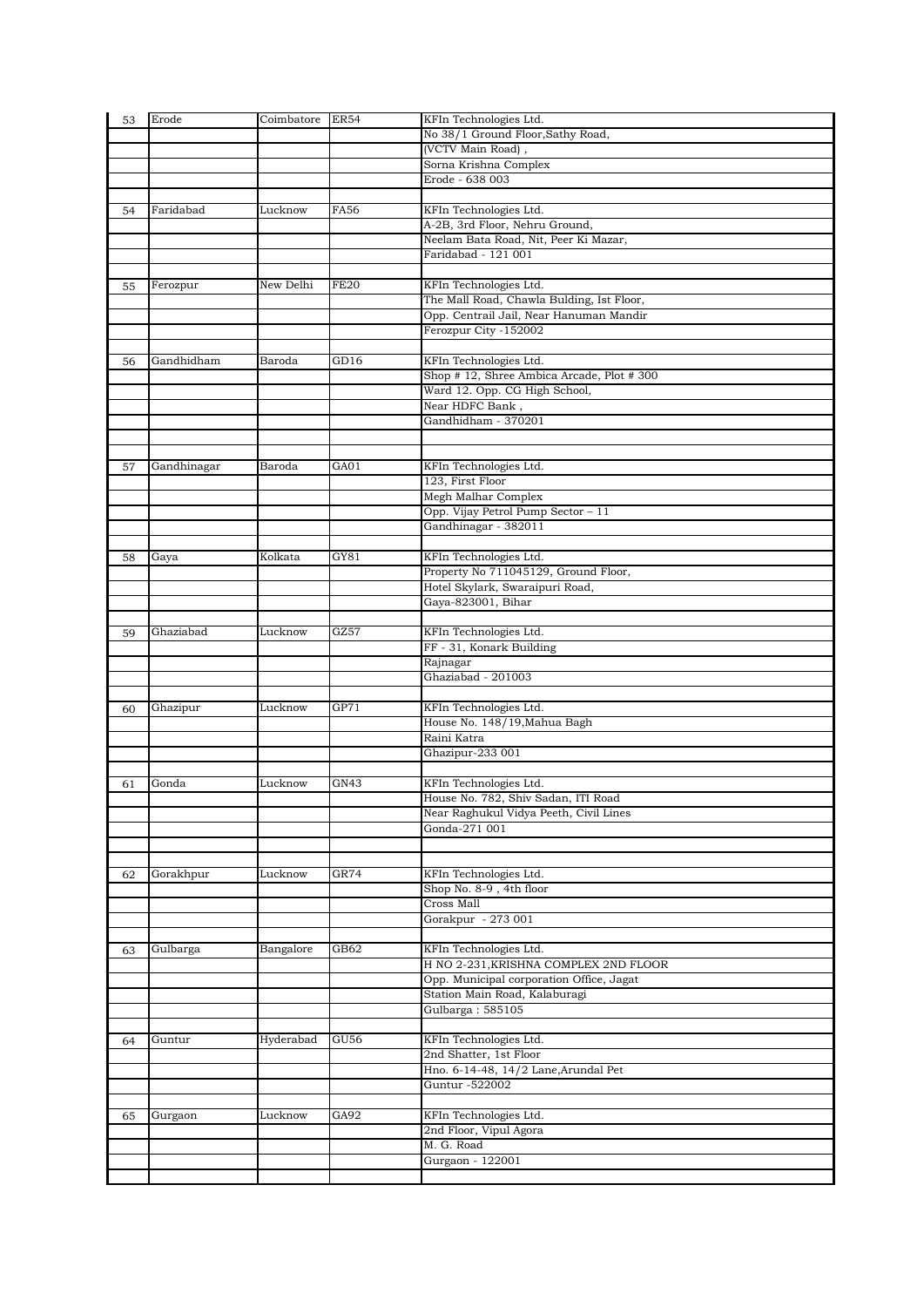| 53 | Erode       | Coimbatore | <b>ER54</b> | KFIn Technologies Ltd.                    |
|----|-------------|------------|-------------|-------------------------------------------|
|    |             |            |             | No 38/1 Ground Floor, Sathy Road,         |
|    |             |            |             | (VCTV Main Road),                         |
|    |             |            |             | Sorna Krishna Complex                     |
|    |             |            |             | Erode - 638 003                           |
|    |             |            |             |                                           |
| 54 | Faridabad   | Lucknow    | <b>FA56</b> | KFIn Technologies Ltd.                    |
|    |             |            |             | A-2B, 3rd Floor, Nehru Ground,            |
|    |             |            |             | Neelam Bata Road, Nit, Peer Ki Mazar,     |
|    |             |            |             | Faridabad - 121 001                       |
|    |             |            |             |                                           |
| 55 | Ferozpur    | New Delhi  | <b>FE20</b> | KFIn Technologies Ltd.                    |
|    |             |            |             | The Mall Road, Chawla Bulding, Ist Floor, |
|    |             |            |             | Opp. Centrail Jail, Near Hanuman Mandir   |
|    |             |            |             | Ferozpur City -152002                     |
|    |             |            |             |                                           |
|    | Gandhidham  | Baroda     | GD16        | KFIn Technologies Ltd.                    |
| 56 |             |            |             | Shop #12, Shree Ambica Arcade, Plot #300  |
|    |             |            |             |                                           |
|    |             |            |             | Ward 12. Opp. CG High School,             |
|    |             |            |             | Near HDFC Bank,                           |
|    |             |            |             | Gandhidham - 370201                       |
|    |             |            |             |                                           |
|    |             |            |             |                                           |
| 57 | Gandhinagar | Baroda     | GA01        | KFIn Technologies Ltd.                    |
|    |             |            |             | 123, First Floor                          |
|    |             |            |             | Megh Malhar Complex                       |
|    |             |            |             | Opp. Vijay Petrol Pump Sector - 11        |
|    |             |            |             | Gandhinagar - 382011                      |
|    |             |            |             |                                           |
| 58 | Gaya        | Kolkata    | GY81        | KFIn Technologies Ltd.                    |
|    |             |            |             | Property No 711045129, Ground Floor,      |
|    |             |            |             | Hotel Skylark, Swaraipuri Road,           |
|    |             |            |             | Gaya-823001, Bihar                        |
|    |             |            |             |                                           |
| 59 | Ghaziabad   | Lucknow    | GZ57        | KFIn Technologies Ltd.                    |
|    |             |            |             | FF - 31, Konark Building                  |
|    |             |            |             | Rajnagar                                  |
|    |             |            |             | Ghaziabad - 201003                        |
|    |             |            |             |                                           |
|    |             | Lucknow    | GP71        |                                           |
| 60 | Ghazipur    |            |             | KFIn Technologies Ltd.                    |
|    |             |            |             | House No. 148/19, Mahua Bagh              |
|    |             |            |             | Raini Katra                               |
|    |             |            |             | Ghazipur-233 001                          |
|    |             |            |             |                                           |
| 61 | Gonda       | Lucknow    | GN43        | KFIn Technologies Ltd.                    |
|    |             |            |             | House No. 782, Shiv Sadan, ITI Road       |
|    |             |            |             | Near Raghukul Vidya Peeth, Civil Lines    |
|    |             |            |             | Gonda-271 001                             |
|    |             |            |             |                                           |
|    |             |            |             |                                           |
| 62 | Gorakhpur   | Lucknow    | GR74        | KFIn Technologies Ltd.                    |
|    |             |            |             | Shop No. 8-9, 4th floor                   |
|    |             |            |             | Cross Mall                                |
|    |             |            |             | Gorakpur - 273 001                        |
|    |             |            |             |                                           |
| 63 | Gulbarga    | Bangalore  | GB62        | KFIn Technologies Ltd.                    |
|    |             |            |             | H NO 2-231, KRISHNA COMPLEX 2ND FLOOR     |
|    |             |            |             | Opp. Municipal corporation Office, Jagat  |
|    |             |            |             | Station Main Road, Kalaburagi             |
|    |             |            |             | Gulbarga: 585105                          |
|    |             |            |             |                                           |
| 64 | Guntur      | Hyderabad  | <b>GU56</b> | KFIn Technologies Ltd.                    |
|    |             |            |             | 2nd Shatter, 1st Floor                    |
|    |             |            |             | Hno. 6-14-48, 14/2 Lane, Arundal Pet      |
|    |             |            |             | Guntur -522002                            |
|    |             |            |             |                                           |
|    |             | Lucknow    | GA92        | KFIn Technologies Ltd.                    |
| 65 | Gurgaon     |            |             | 2nd Floor, Vipul Agora                    |
|    |             |            |             | M. G. Road                                |
|    |             |            |             |                                           |
|    |             |            |             | Gurgaon - 122001                          |
|    |             |            |             |                                           |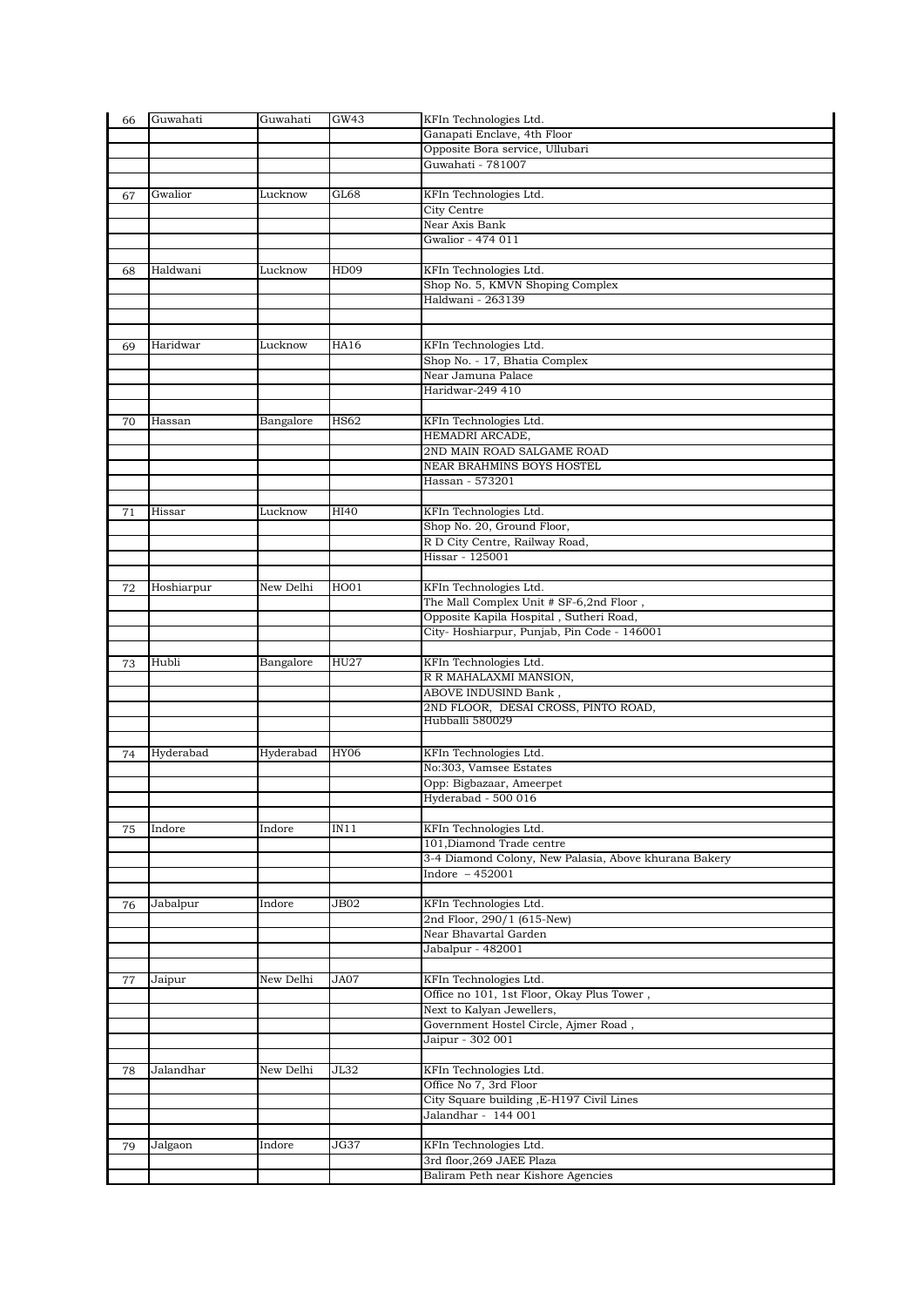| 66 | Guwahati   | Guwahati  | GW43        | KFIn Technologies Ltd.                                                    |
|----|------------|-----------|-------------|---------------------------------------------------------------------------|
|    |            |           |             | Ganapati Enclave, 4th Floor                                               |
|    |            |           |             | Opposite Bora service, Ullubari                                           |
|    |            |           |             | Guwahati - 781007                                                         |
|    |            |           |             |                                                                           |
| 67 | Gwalior    | Lucknow   | GL68        | KFIn Technologies Ltd.                                                    |
|    |            |           |             | City Centre                                                               |
|    |            |           |             | Near Axis Bank                                                            |
|    |            |           |             | Gwalior - 474 011                                                         |
|    |            |           |             |                                                                           |
| 68 | Haldwani   | Lucknow   | HD09        | KFIn Technologies Ltd.                                                    |
|    |            |           |             | Shop No. 5, KMVN Shoping Complex                                          |
|    |            |           |             | Haldwani - 263139                                                         |
|    |            |           |             |                                                                           |
|    |            |           |             |                                                                           |
| 69 | Haridwar   | Lucknow   | HA16        | KFIn Technologies Ltd.                                                    |
|    |            |           |             | Shop No. - 17, Bhatia Complex                                             |
|    |            |           |             | Near Jamuna Palace                                                        |
|    |            |           |             | Haridwar-249 410                                                          |
|    |            |           |             |                                                                           |
| 70 | Hassan     | Bangalore | <b>HS62</b> | KFIn Technologies Ltd.                                                    |
|    |            |           |             | HEMADRI ARCADE,                                                           |
|    |            |           |             | 2ND MAIN ROAD SALGAME ROAD                                                |
|    |            |           |             | NEAR BRAHMINS BOYS HOSTEL                                                 |
|    |            |           |             | Hassan - 573201                                                           |
|    |            |           |             |                                                                           |
| 71 | Hissar     | Lucknow   | HI40        | KFIn Technologies Ltd.                                                    |
|    |            |           |             | Shop No. 20, Ground Floor,                                                |
|    |            |           |             | R D City Centre, Railway Road,<br>Hissar - 125001                         |
|    |            |           |             |                                                                           |
|    |            |           |             |                                                                           |
| 72 | Hoshiarpur | New Delhi | HO01        | KFIn Technologies Ltd.                                                    |
|    |            |           |             | The Mall Complex Unit # SF-6,2nd Floor,                                   |
|    |            |           |             | Opposite Kapila Hospital, Sutheri Road,                                   |
|    |            |           |             | City-Hoshiarpur, Punjab, Pin Code - 146001                                |
|    | Hubli      | Bangalore | HU27        | KFIn Technologies Ltd.                                                    |
| 73 |            |           |             | R R MAHALAXMI MANSION,                                                    |
|    |            |           |             | ABOVE INDUSIND Bank,                                                      |
|    |            |           |             |                                                                           |
|    |            |           |             |                                                                           |
|    |            |           |             | 2ND FLOOR, DESAI CROSS, PINTO ROAD,                                       |
|    |            |           |             | Hubballi 580029                                                           |
|    |            |           |             |                                                                           |
| 74 | Hyderabad  | Hyderabad | <b>HY06</b> | KFIn Technologies Ltd.                                                    |
|    |            |           |             | No:303, Vamsee Estates                                                    |
|    |            |           |             | Opp: Bigbazaar, Ameerpet                                                  |
|    |            |           |             | Hyderabad - 500 016                                                       |
|    |            |           |             |                                                                           |
| 75 | Indore     | Indore    | IN11        | KFIn Technologies Ltd.                                                    |
|    |            |           |             | 101, Diamond Trade centre                                                 |
|    |            |           |             | 3-4 Diamond Colony, New Palasia, Above khurana Bakery<br>Indore $-452001$ |
|    |            |           |             |                                                                           |
|    | Jabalpur   | Indore    | JB02        | KFIn Technologies Ltd.                                                    |
| 76 |            |           |             | 2nd Floor, 290/1 (615-New)                                                |
|    |            |           |             | Near Bhavartal Garden                                                     |
|    |            |           |             | Jabalpur - 482001                                                         |
|    |            |           |             |                                                                           |
| 77 | Jaipur     | New Delhi | JA07        | KFIn Technologies Ltd.                                                    |
|    |            |           |             | Office no 101, 1st Floor, Okay Plus Tower,                                |
|    |            |           |             | Next to Kalyan Jewellers,                                                 |
|    |            |           |             | Government Hostel Circle, Ajmer Road,                                     |
|    |            |           |             | Jaipur - 302 001                                                          |
|    |            |           |             |                                                                           |
| 78 | Jalandhar  | New Delhi | JL32        | KFIn Technologies Ltd.                                                    |
|    |            |           |             | Office No 7, 3rd Floor                                                    |
|    |            |           |             | City Square building , E-H197 Civil Lines                                 |
|    |            |           |             | Jalandhar - 144 001                                                       |
|    |            |           |             |                                                                           |
| 79 | Jalgaon    | Indore    | JG37        | KFIn Technologies Ltd.                                                    |
|    |            |           |             | 3rd floor, 269 JAEE Plaza<br>Baliram Peth near Kishore Agencies           |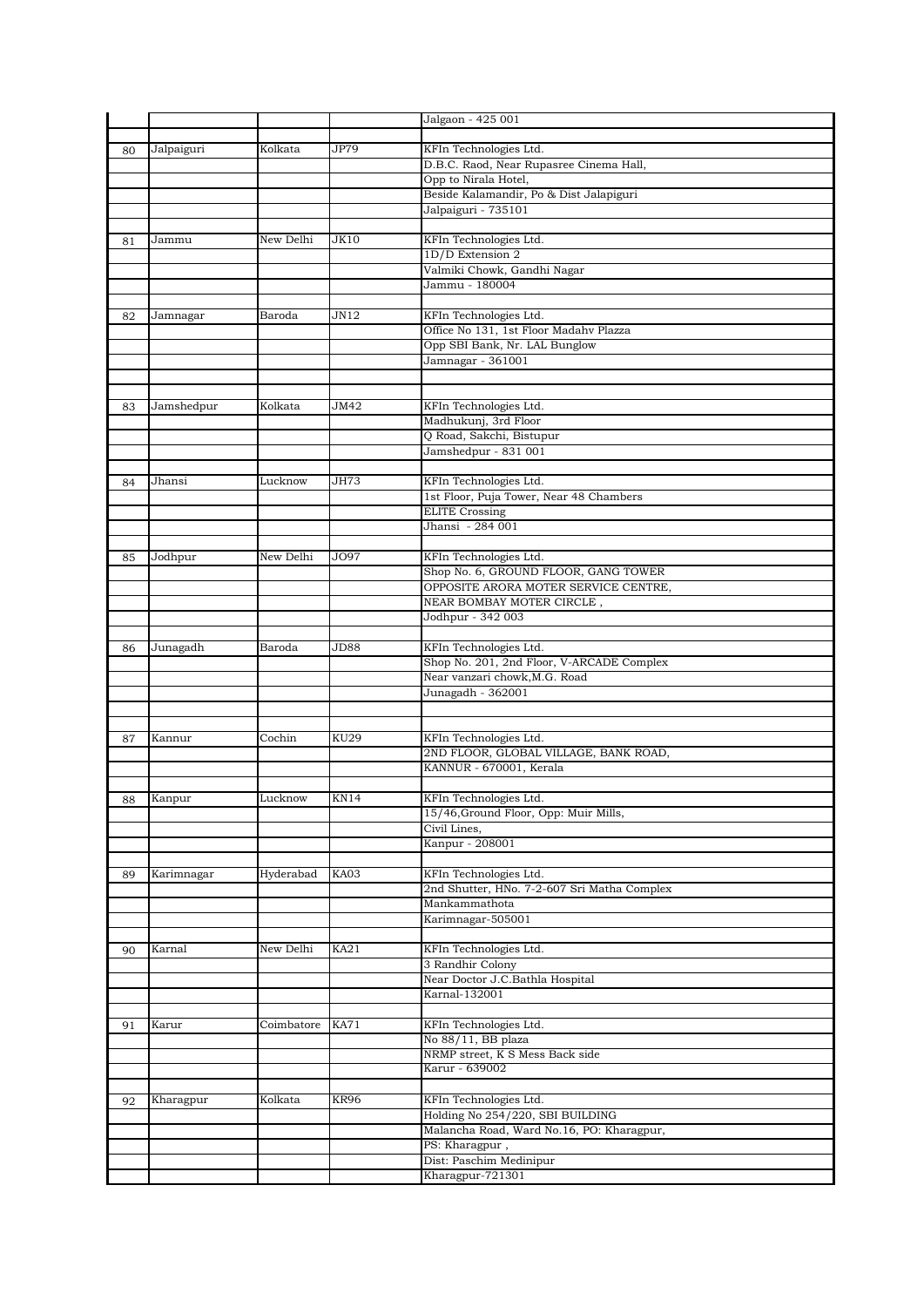|    |            |            |             | Jalgaon - 425 001                                                       |
|----|------------|------------|-------------|-------------------------------------------------------------------------|
|    |            |            |             |                                                                         |
| 80 | Jalpaiguri | Kolkata    | JP79        | KFIn Technologies Ltd.                                                  |
|    |            |            |             | D.B.C. Raod, Near Rupasree Cinema Hall,                                 |
|    |            |            |             | Opp to Nirala Hotel,<br>Beside Kalamandir, Po & Dist Jalapiguri         |
|    |            |            |             | Jalpaiguri - 735101                                                     |
|    |            |            |             |                                                                         |
| 81 | Jammu      | New Delhi  | JK10        | KFIn Technologies Ltd.                                                  |
|    |            |            |             | $1D/D$ Extension $2$                                                    |
|    |            |            |             | Valmiki Chowk, Gandhi Nagar                                             |
|    |            |            |             | Jammu - 180004                                                          |
|    |            |            |             |                                                                         |
| 82 | Jamnagar   | Baroda     | JN12        | KFIn Technologies Ltd.                                                  |
|    |            |            |             | Office No 131, 1st Floor Madahy Plazza<br>Opp SBI Bank, Nr. LAL Bunglow |
|    |            |            |             | Jamnagar - 361001                                                       |
|    |            |            |             |                                                                         |
|    |            |            |             |                                                                         |
| 83 | Jamshedpur | Kolkata    | JM42        | KFIn Technologies Ltd.                                                  |
|    |            |            |             | Madhukunj, 3rd Floor                                                    |
|    |            |            |             | Q Road, Sakchi, Bistupur                                                |
|    |            |            |             | Jamshedpur - 831 001                                                    |
|    |            |            |             |                                                                         |
| 84 | Jhansi     | Lucknow    | JH73        | KFIn Technologies Ltd.<br>1st Floor, Puja Tower, Near 48 Chambers       |
|    |            |            |             | <b>ELITE Crossing</b>                                                   |
|    |            |            |             | Jhansi - 284 001                                                        |
|    |            |            |             |                                                                         |
| 85 | Jodhpur    | New Delhi  | JO97        | KFIn Technologies Ltd.                                                  |
|    |            |            |             | Shop No. 6, GROUND FLOOR, GANG TOWER                                    |
|    |            |            |             | OPPOSITE ARORA MOTER SERVICE CENTRE,                                    |
|    |            |            |             | NEAR BOMBAY MOTER CIRCLE,                                               |
|    |            |            |             | Jodhpur - 342 003                                                       |
| 86 | Junagadh   | Baroda     | JD88        | KFIn Technologies Ltd.                                                  |
|    |            |            |             | Shop No. 201, 2nd Floor, V-ARCADE Complex                               |
|    |            |            |             | Near vanzari chowk, M.G. Road                                           |
|    |            |            |             | Junagadh - 362001                                                       |
|    |            |            |             |                                                                         |
|    |            |            |             |                                                                         |
| 87 | Kannur     | Cochin     | <b>KU29</b> | KFIn Technologies Ltd.                                                  |
|    |            |            |             | 2ND FLOOR, GLOBAL VILLAGE, BANK ROAD,<br>KANNUR - 670001, Kerala        |
|    |            |            |             |                                                                         |
| 88 | Kanpur     | Lucknow    | KN14        | KFIn Technologies Ltd.                                                  |
|    |            |            |             | 15/46, Ground Floor, Opp: Muir Mills,                                   |
|    |            |            |             | Civil Lines,                                                            |
|    |            |            |             | Kanpur - 208001                                                         |
|    |            |            |             |                                                                         |
| 89 | Karimnagar | Hyderabad  | KA03        | KFIn Technologies Ltd.                                                  |
|    |            |            |             | 2nd Shutter, HNo. 7-2-607 Sri Matha Complex<br>Mankammathota            |
|    |            |            |             | Karimnagar-505001                                                       |
|    |            |            |             |                                                                         |
| 90 | Karnal     | New Delhi  | KA21        | KFIn Technologies Ltd.                                                  |
|    |            |            |             | 3 Randhir Colony                                                        |
|    |            |            |             | Near Doctor J.C.Bathla Hospital                                         |
|    |            |            |             | Karnal-132001                                                           |
|    |            |            |             |                                                                         |
| 91 | Karur      | Coimbatore | <b>KA71</b> | KFIn Technologies Ltd.                                                  |
|    |            |            |             | No 88/11, BB plaza<br>NRMP street, K S Mess Back side                   |
|    |            |            |             | Karur - 639002                                                          |
|    |            |            |             |                                                                         |
| 92 | Kharagpur  | Kolkata    | KR96        | KFIn Technologies Ltd.                                                  |
|    |            |            |             | Holding No 254/220, SBI BUILDING                                        |
|    |            |            |             | Malancha Road, Ward No.16, PO: Kharagpur,                               |
|    |            |            |             | PS: Kharagpur,                                                          |
|    |            |            |             | Dist: Paschim Medinipur                                                 |
|    |            |            |             | Kharagpur-721301                                                        |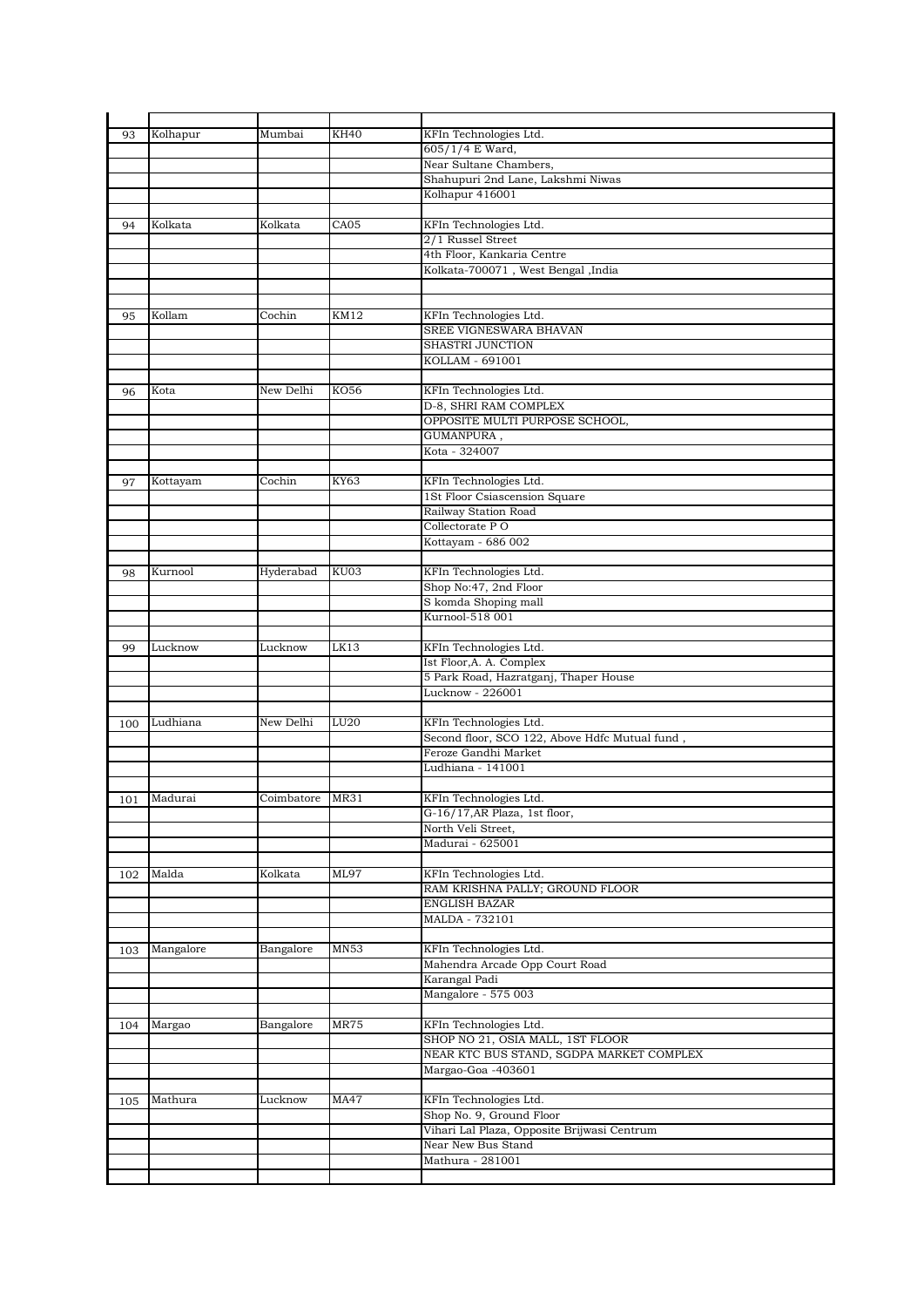| 93  |           |            |             |                                                |
|-----|-----------|------------|-------------|------------------------------------------------|
|     | Kolhapur  | Mumbai     | <b>KH40</b> | KFIn Technologies Ltd.                         |
|     |           |            |             | 605/1/4 E Ward,                                |
|     |           |            |             |                                                |
|     |           |            |             | Near Sultane Chambers,                         |
|     |           |            |             | Shahupuri 2nd Lane, Lakshmi Niwas              |
|     |           |            |             | Kolhapur 416001                                |
|     |           |            |             |                                                |
| 94  | Kolkata   | Kolkata    | CA05        | KFIn Technologies Ltd.                         |
|     |           |            |             | 2/1 Russel Street                              |
|     |           |            |             |                                                |
|     |           |            |             | 4th Floor, Kankaria Centre                     |
|     |           |            |             | Kolkata-700071, West Bengal, India             |
|     |           |            |             |                                                |
|     |           |            |             |                                                |
| 95  | Kollam    | Cochin     | <b>KM12</b> | KFIn Technologies Ltd.                         |
|     |           |            |             | SREE VIGNESWARA BHAVAN                         |
|     |           |            |             | <b>SHASTRI JUNCTION</b>                        |
|     |           |            |             |                                                |
|     |           |            |             | KOLLAM - 691001                                |
|     |           |            |             |                                                |
| 96  | Kota      | New Delhi  | KO56        | KFIn Technologies Ltd.                         |
|     |           |            |             | D-8, SHRI RAM COMPLEX                          |
|     |           |            |             | OPPOSITE MULTI PURPOSE SCHOOL,                 |
|     |           |            |             | GUMANPURA,                                     |
|     |           |            |             |                                                |
|     |           |            |             | Kota - 324007                                  |
|     |           |            |             |                                                |
| 97  | Kottayam  | Cochin     | KY63        | KFIn Technologies Ltd.                         |
|     |           |            |             | 1St Floor Csiascension Square                  |
|     |           |            |             | Railway Station Road                           |
|     |           |            |             | Collectorate PO                                |
|     |           |            |             |                                                |
|     |           |            |             | Kottayam - 686 002                             |
|     |           |            |             |                                                |
| 98  | Kurnool   | Hyderabad  | KU03        | KFIn Technologies Ltd.                         |
|     |           |            |             | Shop No:47, 2nd Floor                          |
|     |           |            |             | S komda Shoping mall                           |
|     |           |            |             | Kurnool-518 001                                |
|     |           |            |             |                                                |
|     |           |            |             |                                                |
| 99  | Lucknow   | Lucknow    | LK13        | KFIn Technologies Ltd.                         |
|     |           |            |             | Ist Floor, A. A. Complex                       |
|     |           |            |             | 5 Park Road, Hazratganj, Thaper House          |
|     |           |            |             | Lucknow - 226001                               |
|     |           |            |             |                                                |
|     |           |            |             |                                                |
|     | Ludhiana  | New Delhi  | LU20        | KFIn Technologies Ltd.                         |
| 100 |           |            |             | Second floor, SCO 122, Above Hdfc Mutual fund, |
|     |           |            |             | Feroze Gandhi Market                           |
|     |           |            |             |                                                |
|     |           |            |             | Ludhiana - 141001                              |
|     |           |            |             |                                                |
|     |           |            |             |                                                |
| 101 | Madurai   | Coimbatore | MR31        | KFIn Technologies Ltd.                         |
|     |           |            |             | G-16/17, AR Plaza, 1st floor,                  |
|     |           |            |             | North Veli Street,                             |
|     |           |            |             | Madurai - 625001                               |
|     |           |            |             |                                                |
|     |           |            |             |                                                |
| 102 | Malda     | Kolkata    | ML97        | KFIn Technologies Ltd.                         |
|     |           |            |             | RAM KRISHNA PALLY; GROUND FLOOR                |
|     |           |            |             | ENGLISH BAZAR                                  |
|     |           |            |             | MALDA - 732101                                 |
|     |           |            |             |                                                |
| 103 | Mangalore | Bangalore  | MN53        | KFIn Technologies Ltd.                         |
|     |           |            |             |                                                |
|     |           |            |             | Mahendra Arcade Opp Court Road                 |
|     |           |            |             | Karangal Padi                                  |
|     |           |            |             | Mangalore - 575 003                            |
|     |           |            |             |                                                |
| 104 | Margao    | Bangalore  | MR75        | KFIn Technologies Ltd.                         |
|     |           |            |             | SHOP NO 21, OSIA MALL, 1ST FLOOR               |
|     |           |            |             |                                                |
|     |           |            |             | NEAR KTC BUS STAND, SGDPA MARKET COMPLEX       |
|     |           |            |             | Margao-Goa -403601                             |
|     |           |            |             |                                                |
| 105 | Mathura   | Lucknow    | <b>MA47</b> | KFIn Technologies Ltd.                         |
|     |           |            |             | Shop No. 9, Ground Floor                       |
|     |           |            |             |                                                |
|     |           |            |             | Vihari Lal Plaza, Opposite Brijwasi Centrum    |
|     |           |            |             | Near New Bus Stand                             |
|     |           |            |             | Mathura - 281001                               |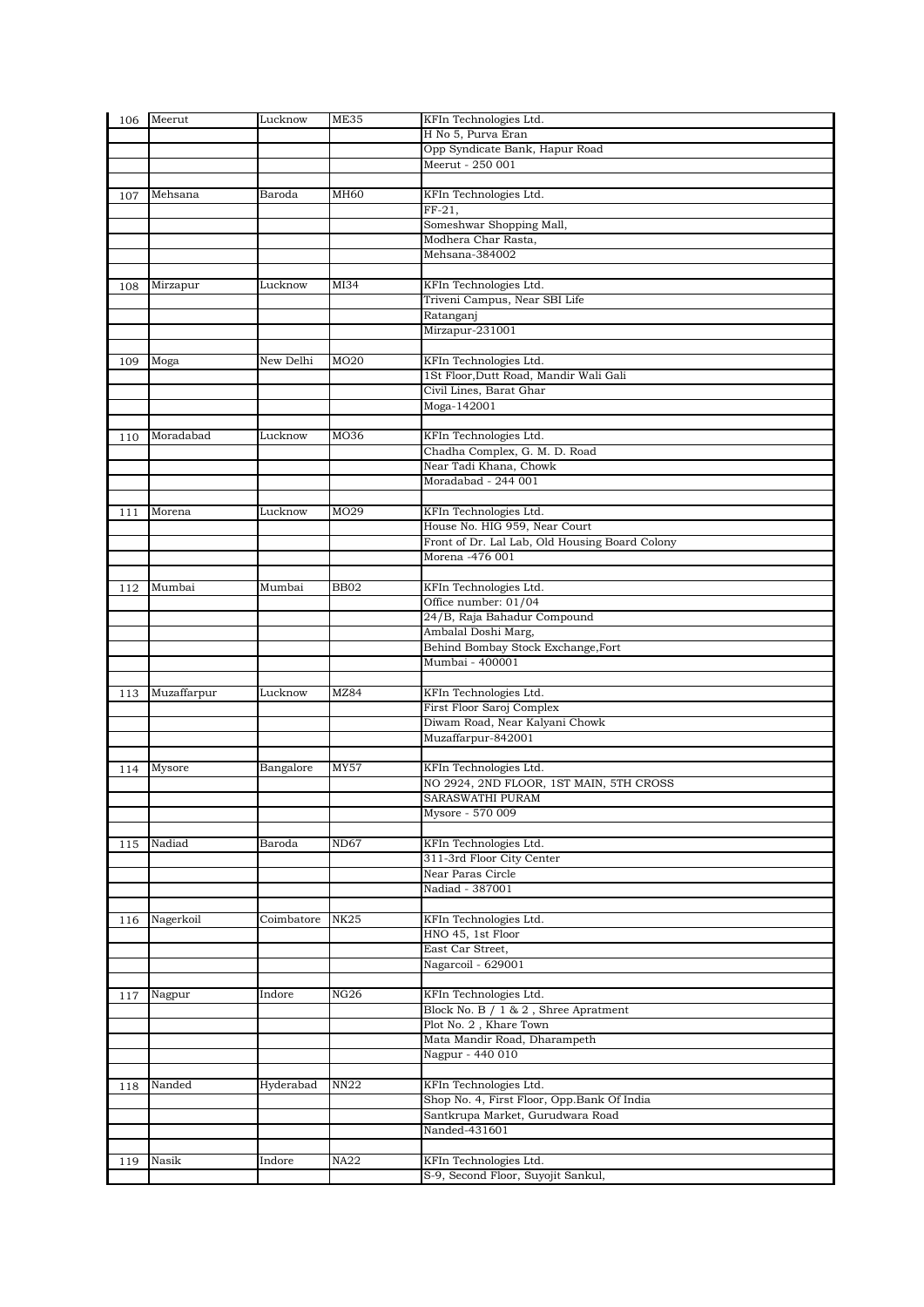| 106 | Meerut      | Lucknow    | ME35             | KFIn Technologies Ltd.                                |
|-----|-------------|------------|------------------|-------------------------------------------------------|
|     |             |            |                  | H No 5, Purva Eran                                    |
|     |             |            |                  | Opp Syndicate Bank, Hapur Road                        |
|     |             |            |                  | Meerut - 250 001                                      |
|     |             |            |                  |                                                       |
| 107 | Mehsana     | Baroda     | MH <sub>60</sub> | KFIn Technologies Ltd.                                |
|     |             |            |                  | FF-21,                                                |
|     |             |            |                  | Someshwar Shopping Mall,                              |
|     |             |            |                  | Modhera Char Rasta,                                   |
|     |             |            |                  | Mehsana-384002                                        |
|     |             |            |                  |                                                       |
| 108 | Mirzapur    | Lucknow    | MI34             | KFIn Technologies Ltd.                                |
|     |             |            |                  | Triveni Campus, Near SBI Life                         |
|     |             |            |                  | Ratanganj                                             |
|     |             |            |                  | Mirzapur-231001                                       |
|     |             |            |                  |                                                       |
| 109 | Moga        | New Delhi  | MO <sub>20</sub> | KFIn Technologies Ltd.                                |
|     |             |            |                  | 1St Floor, Dutt Road, Mandir Wali Gali                |
|     |             |            |                  | Civil Lines, Barat Ghar                               |
|     |             |            |                  | Moga-142001                                           |
|     |             |            |                  |                                                       |
| 110 | Moradabad   | Lucknow    | MO36             | KFIn Technologies Ltd.                                |
|     |             |            |                  | Chadha Complex, G. M. D. Road                         |
|     |             |            |                  | Near Tadi Khana, Chowk                                |
|     |             |            |                  | Moradabad - 244 001                                   |
|     |             |            |                  |                                                       |
| 111 | Morena      | Lucknow    | MO29             | KFIn Technologies Ltd.                                |
|     |             |            |                  | House No. HIG 959, Near Court                         |
|     |             |            |                  | Front of Dr. Lal Lab, Old Housing Board Colony        |
|     |             |            |                  | Morena -476 001                                       |
|     |             |            |                  |                                                       |
| 112 | Mumbai      | Mumbai     | <b>BB02</b>      | KFIn Technologies Ltd.                                |
|     |             |            |                  | Office number: 01/04                                  |
|     |             |            |                  | 24/B, Raja Bahadur Compound                           |
|     |             |            |                  | Ambalal Doshi Marg,                                   |
|     |             |            |                  | Behind Bombay Stock Exchange, Fort<br>Mumbai - 400001 |
|     |             |            |                  |                                                       |
|     | Muzaffarpur | Lucknow    | MZ84             | KFIn Technologies Ltd.                                |
| 113 |             |            |                  | First Floor Saroj Complex                             |
|     |             |            |                  | Diwam Road, Near Kalyani Chowk                        |
|     |             |            |                  | Muzaffarpur-842001                                    |
|     |             |            |                  |                                                       |
| 114 | Mysore      | Bangalore  | <b>MY57</b>      | KFIn Technologies Ltd.                                |
|     |             |            |                  | NO 2924, 2ND FLOOR, 1ST MAIN, 5TH CROSS               |
|     |             |            |                  | SARASWATHI PURAM                                      |
|     |             |            |                  | Mysore - 570 009                                      |
|     |             |            |                  |                                                       |
| 115 | Nadiad      | Baroda     | <b>ND67</b>      | KFIn Technologies Ltd.                                |
|     |             |            |                  | 311-3rd Floor City Center                             |
|     |             |            |                  | Near Paras Circle                                     |
|     |             |            |                  | Nadiad - 387001                                       |
|     |             |            |                  |                                                       |
| 116 | Nagerkoil   | Coimbatore | <b>NK25</b>      | KFIn Technologies Ltd.                                |
|     |             |            |                  | HNO 45, 1st Floor                                     |
|     |             |            |                  | East Car Street,                                      |
|     |             |            |                  | Nagarcoil - 629001                                    |
|     |             |            |                  |                                                       |
| 117 | Nagpur      | Indore     | NG26             | KFIn Technologies Ltd.                                |
|     |             |            |                  | Block No. B / 1 & 2, Shree Apratment                  |
|     |             |            |                  | Plot No. 2, Khare Town                                |
|     |             |            |                  | Mata Mandir Road, Dharampeth                          |
|     |             |            |                  | Nagpur - 440 010                                      |
|     |             |            |                  |                                                       |
| 118 | Nanded      | Hyderabad  | <b>NN22</b>      | KFIn Technologies Ltd.                                |
|     |             |            |                  | Shop No. 4, First Floor, Opp.Bank Of India            |
|     |             |            |                  | Santkrupa Market, Gurudwara Road                      |
|     |             |            |                  | Nanded-431601                                         |
|     |             |            |                  |                                                       |
| 119 | Nasik       | Indore     | NA22             | KFIn Technologies Ltd.                                |
|     |             |            |                  | S-9, Second Floor, Suyojit Sankul,                    |
|     |             |            |                  |                                                       |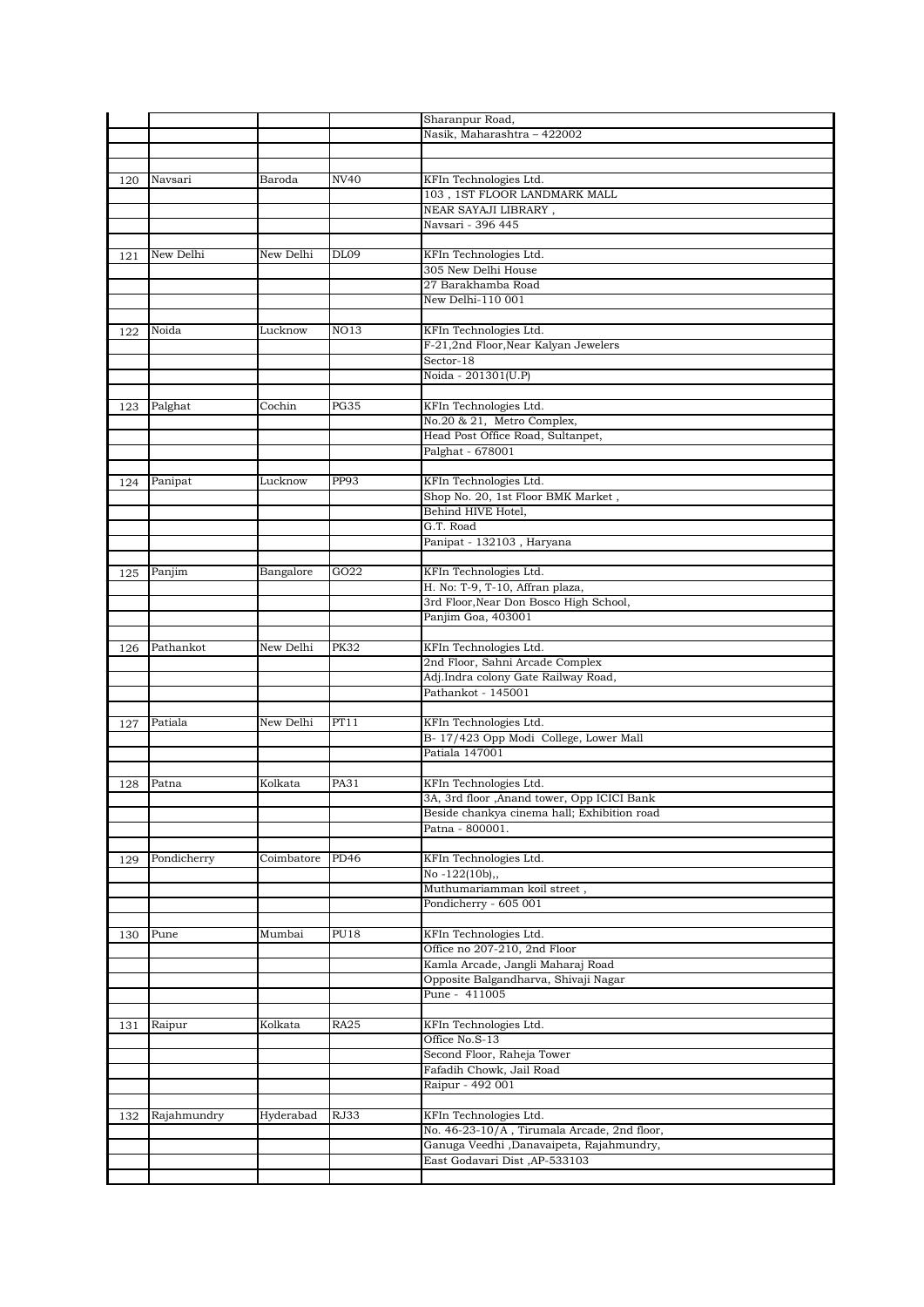|     |             |            |             | Sharanpur Road,                                           |
|-----|-------------|------------|-------------|-----------------------------------------------------------|
|     |             |            |             | Nasik, Maharashtra - 422002                               |
|     |             |            |             |                                                           |
|     |             |            |             |                                                           |
| 120 | Navsari     | Baroda     | NV40        | KFIn Technologies Ltd.                                    |
|     |             |            |             | 103, 1ST FLOOR LANDMARK MALL                              |
|     |             |            |             | NEAR SAYAJI LIBRARY,                                      |
|     |             |            |             | Navsari - 396 445                                         |
|     |             |            |             |                                                           |
| 121 | New Delhi   | New Delhi  | <b>DL09</b> | KFIn Technologies Ltd.                                    |
|     |             |            |             | 305 New Delhi House                                       |
|     |             |            |             | 27 Barakhamba Road                                        |
|     |             |            |             | New Delhi-110 001                                         |
|     |             |            |             |                                                           |
| 122 | Noida       | Lucknow    | NO13        | KFIn Technologies Ltd.                                    |
|     |             |            |             | F-21,2nd Floor, Near Kalyan Jewelers                      |
|     |             |            |             | Sector-18                                                 |
|     |             |            |             | Noida - 201301(U.P)                                       |
|     |             |            |             |                                                           |
| 123 | Palghat     | Cochin     | <b>PG35</b> | KFIn Technologies Ltd.                                    |
|     |             |            |             | No.20 & 21, Metro Complex,                                |
|     |             |            |             | Head Post Office Road, Sultanpet,                         |
|     |             |            |             | Palghat - 678001                                          |
|     |             |            |             |                                                           |
| 124 | Panipat     | Lucknow    | PP93        | KFIn Technologies Ltd.                                    |
|     |             |            |             | Shop No. 20, 1st Floor BMK Market,                        |
|     |             |            |             | Behind HIVE Hotel,                                        |
|     |             |            |             | G.T. Road                                                 |
|     |             |            |             | Panipat - 132103, Haryana                                 |
|     |             |            |             |                                                           |
| 125 | Panjim      | Bangalore  | GO22        | KFIn Technologies Ltd.<br>H. No: T-9, T-10, Affran plaza, |
|     |             |            |             | 3rd Floor, Near Don Bosco High School,                    |
|     |             |            |             | Panjim Goa, 403001                                        |
|     |             |            |             |                                                           |
|     | Pathankot   | New Delhi  | <b>PK32</b> | KFIn Technologies Ltd.                                    |
| 126 |             |            |             | 2nd Floor, Sahni Arcade Complex                           |
|     |             |            |             | Adj.Indra colony Gate Railway Road,                       |
|     |             |            |             | Pathankot - 145001                                        |
|     |             |            |             |                                                           |
| 127 | Patiala     | New Delhi  | PT11        | KFIn Technologies Ltd.                                    |
|     |             |            |             | B-17/423 Opp Modi College, Lower Mall                     |
|     |             |            |             | Patiala 147001                                            |
|     |             |            |             |                                                           |
| 128 | Patna       | Kolkata    | PA31        | KFIn Technologies Ltd.                                    |
|     |             |            |             | 3A, 3rd floor , Anand tower, Opp ICICI Bank               |
|     |             |            |             | Beside chankya cinema hall; Exhibition road               |
|     |             |            |             | Patna - 800001.                                           |
|     |             |            |             |                                                           |
| 129 | Pondicherry | Coimbatore | PD46        | KFIn Technologies Ltd.                                    |
|     |             |            |             | No $-122(10b)$ ,,                                         |
|     |             |            |             | Muthumariamman koil street,                               |
|     |             |            |             | Pondicherry - 605 001                                     |
|     |             |            |             |                                                           |
| 130 | Pune        | Mumbai     | <b>PU18</b> | KFIn Technologies Ltd.                                    |
|     |             |            |             | Office no 207-210, 2nd Floor                              |
|     |             |            |             | Kamla Arcade, Jangli Maharaj Road                         |
|     |             |            |             | Opposite Balgandharva, Shivaji Nagar                      |
|     |             |            |             | Pune - 411005                                             |
|     |             |            |             |                                                           |
| 131 | Raipur      | Kolkata    | <b>RA25</b> | KFIn Technologies Ltd.                                    |
|     |             |            |             | Office No.S-13                                            |
|     |             |            |             | Second Floor, Raheja Tower                                |
|     |             |            |             | Fafadih Chowk, Jail Road                                  |
|     |             |            |             | Raipur - 492 001                                          |
|     |             |            |             |                                                           |
| 132 | Rajahmundry | Hyderabad  | RJ33        | KFIn Technologies Ltd.                                    |
|     |             |            |             | No. 46-23-10/A, Tirumala Arcade, 2nd floor,               |
|     |             |            |             | Ganuga Veedhi ,Danavaipeta, Rajahmundry,                  |
|     |             |            |             | East Godavari Dist, AP-533103                             |
|     |             |            |             |                                                           |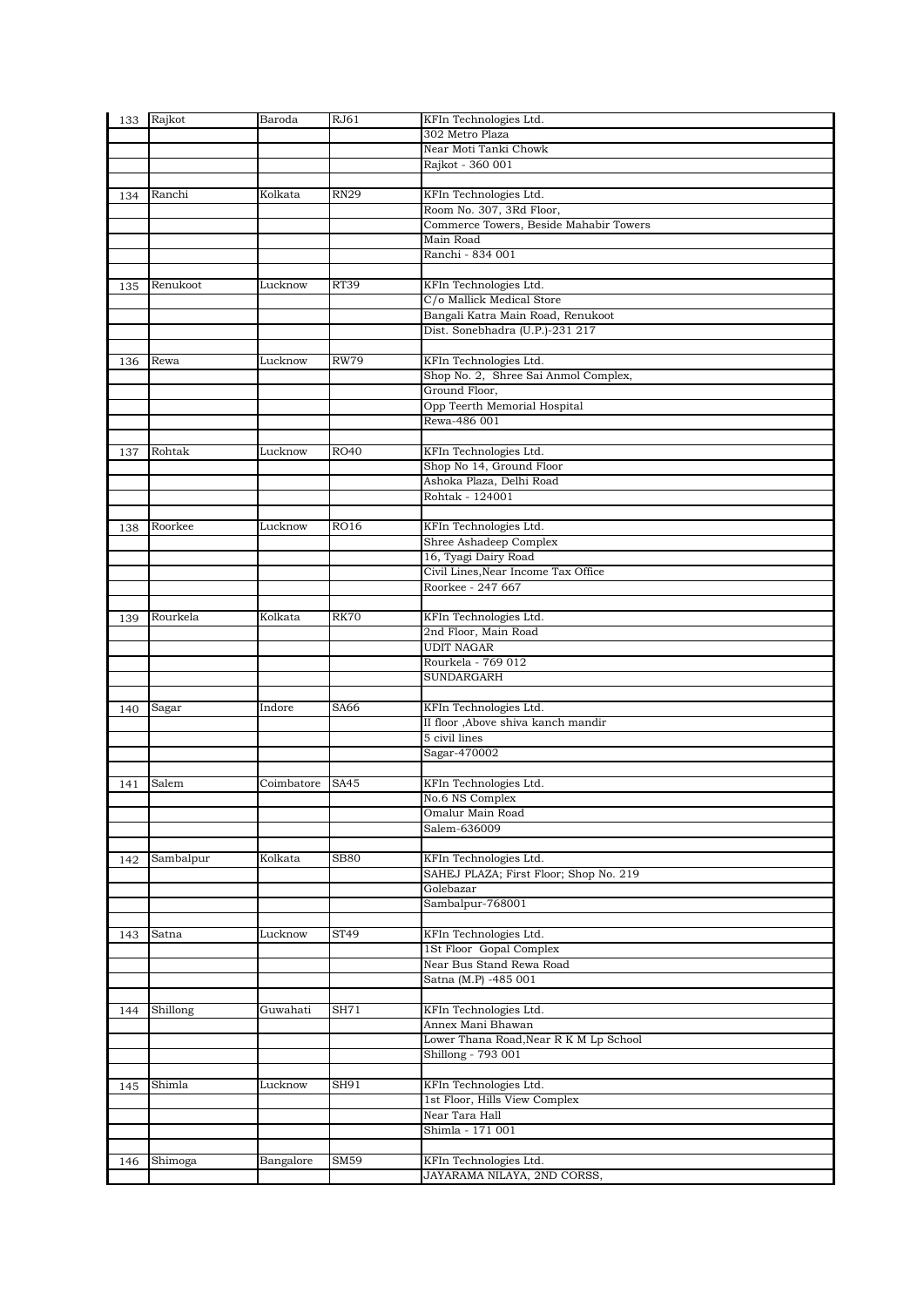| 133 | Rajkot    | Baroda     | RJ61        | KFIn Technologies Ltd.                 |
|-----|-----------|------------|-------------|----------------------------------------|
|     |           |            |             | 302 Metro Plaza                        |
|     |           |            |             | Near Moti Tanki Chowk                  |
|     |           |            |             | Rajkot - 360 001                       |
|     |           |            |             |                                        |
| 134 | Ranchi    | Kolkata    | <b>RN29</b> | KFIn Technologies Ltd.                 |
|     |           |            |             | Room No. 307, 3Rd Floor,               |
|     |           |            |             | Commerce Towers, Beside Mahabir Towers |
|     |           |            |             | Main Road                              |
|     |           |            |             | Ranchi - 834 001                       |
|     |           |            |             |                                        |
| 135 | Renukoot  | Lucknow    | <b>RT39</b> | KFIn Technologies Ltd.                 |
|     |           |            |             | C/o Mallick Medical Store              |
|     |           |            |             | Bangali Katra Main Road, Renukoot      |
|     |           |            |             | Dist. Sonebhadra (U.P.)-231 217        |
|     |           |            |             |                                        |
| 136 | Rewa      | Lucknow    | <b>RW79</b> | KFIn Technologies Ltd.                 |
|     |           |            |             | Shop No. 2, Shree Sai Anmol Complex,   |
|     |           |            |             | Ground Floor,                          |
|     |           |            |             | Opp Teerth Memorial Hospital           |
|     |           |            |             | Rewa-486 001                           |
|     |           |            |             |                                        |
| 137 | Rohtak    | Lucknow    | <b>RO40</b> | KFIn Technologies Ltd.                 |
|     |           |            |             | Shop No 14, Ground Floor               |
|     |           |            |             | Ashoka Plaza, Delhi Road               |
|     |           |            |             | Rohtak - 124001                        |
|     |           |            |             |                                        |
| 138 | Roorkee   | Lucknow    | <b>RO16</b> | KFIn Technologies Ltd.                 |
|     |           |            |             | Shree Ashadeep Complex                 |
|     |           |            |             | 16, Tyagi Dairy Road                   |
|     |           |            |             | Civil Lines, Near Income Tax Office    |
|     |           |            |             | Roorkee - 247 667                      |
|     |           |            |             |                                        |
| 139 | Rourkela  | Kolkata    | <b>RK70</b> | KFIn Technologies Ltd.                 |
|     |           |            |             | 2nd Floor, Main Road                   |
|     |           |            |             | <b>UDIT NAGAR</b>                      |
|     |           |            |             | Rourkela - 769 012                     |
|     |           |            |             | SUNDARGARH                             |
|     |           |            |             |                                        |
| 140 | Sagar     | Indore     | SA66        | KFIn Technologies Ltd.                 |
|     |           |            |             | II floor , Above shiva kanch mandir    |
|     |           |            |             | 5 civil lines                          |
|     |           |            |             | Sagar-470002                           |
|     |           |            |             |                                        |
| 141 | Salem     | Coimbatore | SA45        | KFIn Technologies Ltd.                 |
|     |           |            |             | No.6 NS Complex                        |
|     |           |            |             | Omalur Main Road                       |
|     |           |            |             | Salem-636009                           |
|     |           |            |             |                                        |
| 142 | Sambalpur | Kolkata    | <b>SB80</b> | KFIn Technologies Ltd.                 |
|     |           |            |             | SAHEJ PLAZA; First Floor; Shop No. 219 |
|     |           |            |             | Golebazar                              |
|     |           |            |             | Sambalpur-768001                       |
|     |           |            |             |                                        |
| 143 | Satna     | Lucknow    | ST49        | KFIn Technologies Ltd.                 |
|     |           |            |             | 1St Floor Gopal Complex                |
|     |           |            |             | Near Bus Stand Rewa Road               |
|     |           |            |             | Satna (M.P) -485 001                   |
|     |           |            |             |                                        |
| 144 | Shillong  | Guwahati   | SH71        | KFIn Technologies Ltd.                 |
|     |           |            |             | Annex Mani Bhawan                      |
|     |           |            |             | Lower Thana Road, Near R K M Lp School |
|     |           |            |             | Shillong - 793 001                     |
|     |           |            |             |                                        |
| 145 | Shimla    | Lucknow    | SH91        | KFIn Technologies Ltd.                 |
|     |           |            |             | 1st Floor, Hills View Complex          |
|     |           |            |             | Near Tara Hall<br>Shimla - 171 001     |
|     |           |            |             |                                        |
|     |           |            | SM59        | KFIn Technologies Ltd.                 |
| 146 | Shimoga   | Bangalore  |             |                                        |
|     |           |            |             | JAYARAMA NILAYA, 2ND CORSS,            |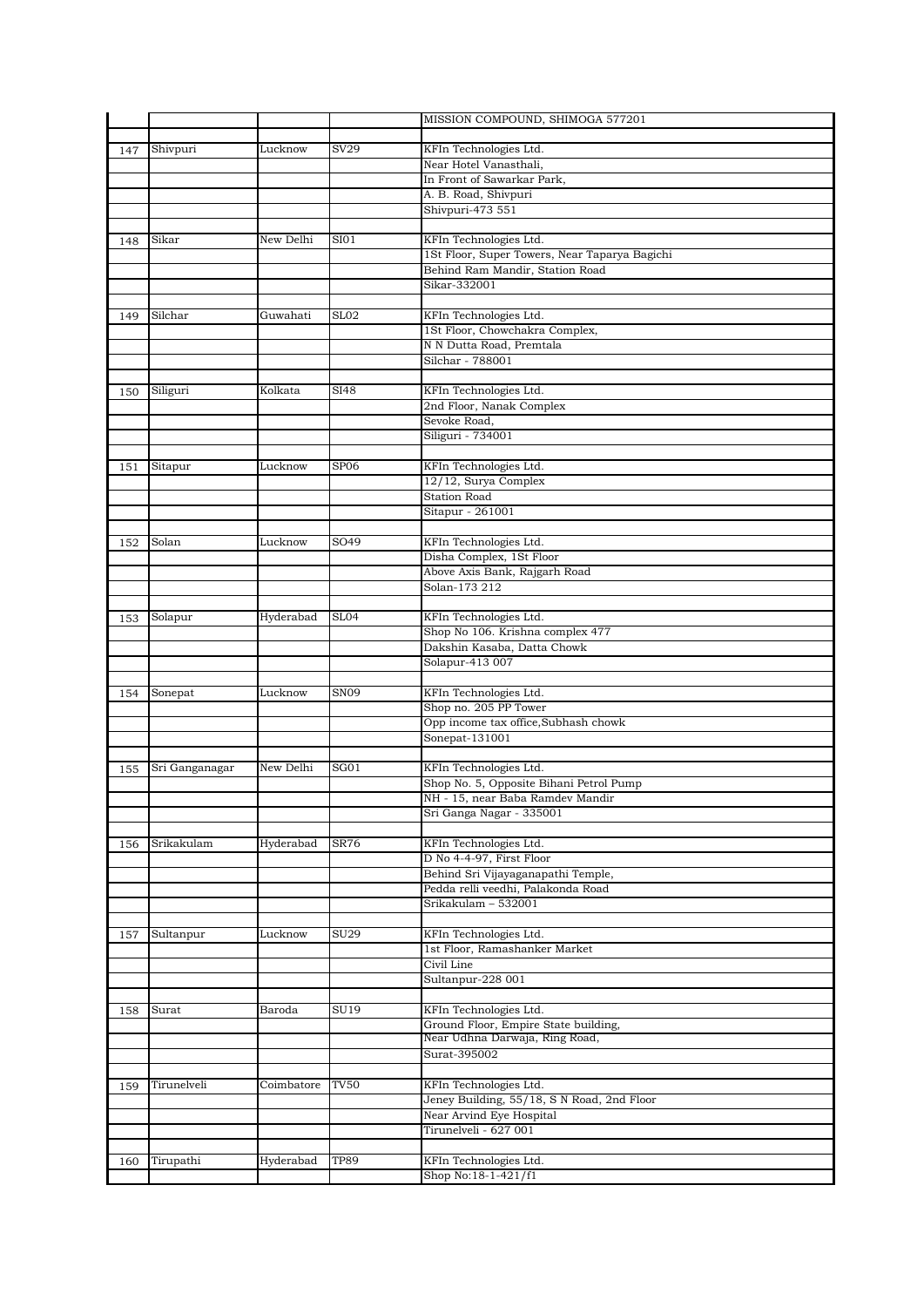|     |                |            |                  | MISSION COMPOUND, SHIMOGA 577201                               |
|-----|----------------|------------|------------------|----------------------------------------------------------------|
|     |                |            |                  |                                                                |
| 147 | Shivpuri       | Lucknow    | SV29             | KFIn Technologies Ltd.                                         |
|     |                |            |                  | Near Hotel Vanasthali,<br>In Front of Sawarkar Park,           |
|     |                |            |                  | A. B. Road, Shivpuri                                           |
|     |                |            |                  | Shivpuri-473 551                                               |
|     |                |            |                  |                                                                |
| 148 | Sikar          | New Delhi  | SIO1             | KFIn Technologies Ltd.                                         |
|     |                |            |                  | 1St Floor, Super Towers, Near Taparya Bagichi                  |
|     |                |            |                  | Behind Ram Mandir, Station Road                                |
|     |                |            |                  | Sikar-332001                                                   |
|     | Silchar        | Guwahati   | SL <sub>02</sub> | KFIn Technologies Ltd.                                         |
| 149 |                |            |                  | 1St Floor, Chowchakra Complex,                                 |
|     |                |            |                  | N N Dutta Road, Premtala                                       |
|     |                |            |                  | Silchar - 788001                                               |
|     |                |            |                  |                                                                |
| 150 | Siliguri       | Kolkata    | SI48             | KFIn Technologies Ltd.                                         |
|     |                |            |                  | 2nd Floor, Nanak Complex                                       |
|     |                |            |                  | Sevoke Road,                                                   |
|     |                |            |                  | Siliguri - 734001                                              |
| 151 | Sitapur        | Lucknow    | SP <sub>06</sub> | KFIn Technologies Ltd.                                         |
|     |                |            |                  | 12/12, Surya Complex                                           |
|     |                |            |                  | <b>Station Road</b>                                            |
|     |                |            |                  | Sitapur - 261001                                               |
|     |                |            |                  |                                                                |
| 152 | Solan          | Lucknow    | SO49             | KFIn Technologies Ltd.                                         |
|     |                |            |                  | Disha Complex, 1St Floor                                       |
|     |                |            |                  | Above Axis Bank, Rajgarh Road                                  |
|     |                |            |                  | Solan-173 212                                                  |
| 153 | Solapur        | Hyderabad  | SL04             | KFIn Technologies Ltd.                                         |
|     |                |            |                  | Shop No 106. Krishna complex 477                               |
|     |                |            |                  | Dakshin Kasaba, Datta Chowk                                    |
|     |                |            |                  | Solapur-413 007                                                |
|     |                |            |                  |                                                                |
| 154 | Sonepat        | Lucknow    | SN <sub>09</sub> | KFIn Technologies Ltd.                                         |
|     |                |            |                  | Shop no. 205 PP Tower                                          |
|     |                |            |                  | Opp income tax office, Subhash chowk<br>Sonepat-131001         |
|     |                |            |                  |                                                                |
| 155 | Sri Ganganagar | New Delhi  | SGO1             | KFIn Technologies Ltd.                                         |
|     |                |            |                  | Shop No. 5, Opposite Bihani Petrol Pump                        |
|     |                |            |                  | NH - 15, near Baba Ramdev Mandir                               |
|     |                |            |                  | Sri Ganga Nagar - 335001                                       |
|     |                |            |                  |                                                                |
| 156 | Srikakulam     | Hyderabad  | <b>SR76</b>      | KFIn Technologies Ltd.                                         |
|     |                |            |                  | D No 4-4-97, First Floor<br>Behind Sri Vijayaganapathi Temple, |
|     |                |            |                  | Pedda relli veedhi, Palakonda Road                             |
|     |                |            |                  | Srikakulam – 532001                                            |
|     |                |            |                  |                                                                |
| 157 | Sultanpur      | Lucknow    | <b>SU29</b>      | KFIn Technologies Ltd.                                         |
|     |                |            |                  | 1st Floor, Ramashanker Market                                  |
|     |                |            |                  | Civil Line                                                     |
|     |                |            |                  | Sultanpur-228 001                                              |
|     |                |            |                  |                                                                |
| 158 | Surat          | Baroda     | SU19             | KFIn Technologies Ltd.<br>Ground Floor, Empire State building, |
|     |                |            |                  | Near Udhna Darwaja, Ring Road,                                 |
|     |                |            |                  | Surat-395002                                                   |
|     |                |            |                  |                                                                |
| 159 | Tirunelveli    | Coimbatore | <b>TV50</b>      | KFIn Technologies Ltd.                                         |
|     |                |            |                  | Jeney Building, 55/18, S N Road, 2nd Floor                     |
|     |                |            |                  | Near Arvind Eye Hospital                                       |
|     |                |            |                  | Tirunelveli - 627 001                                          |
|     |                |            |                  |                                                                |
| 160 | Tirupathi      | Hyderabad  | <b>TP89</b>      | KFIn Technologies Ltd.<br>Shop No:18-1-421/f1                  |
|     |                |            |                  |                                                                |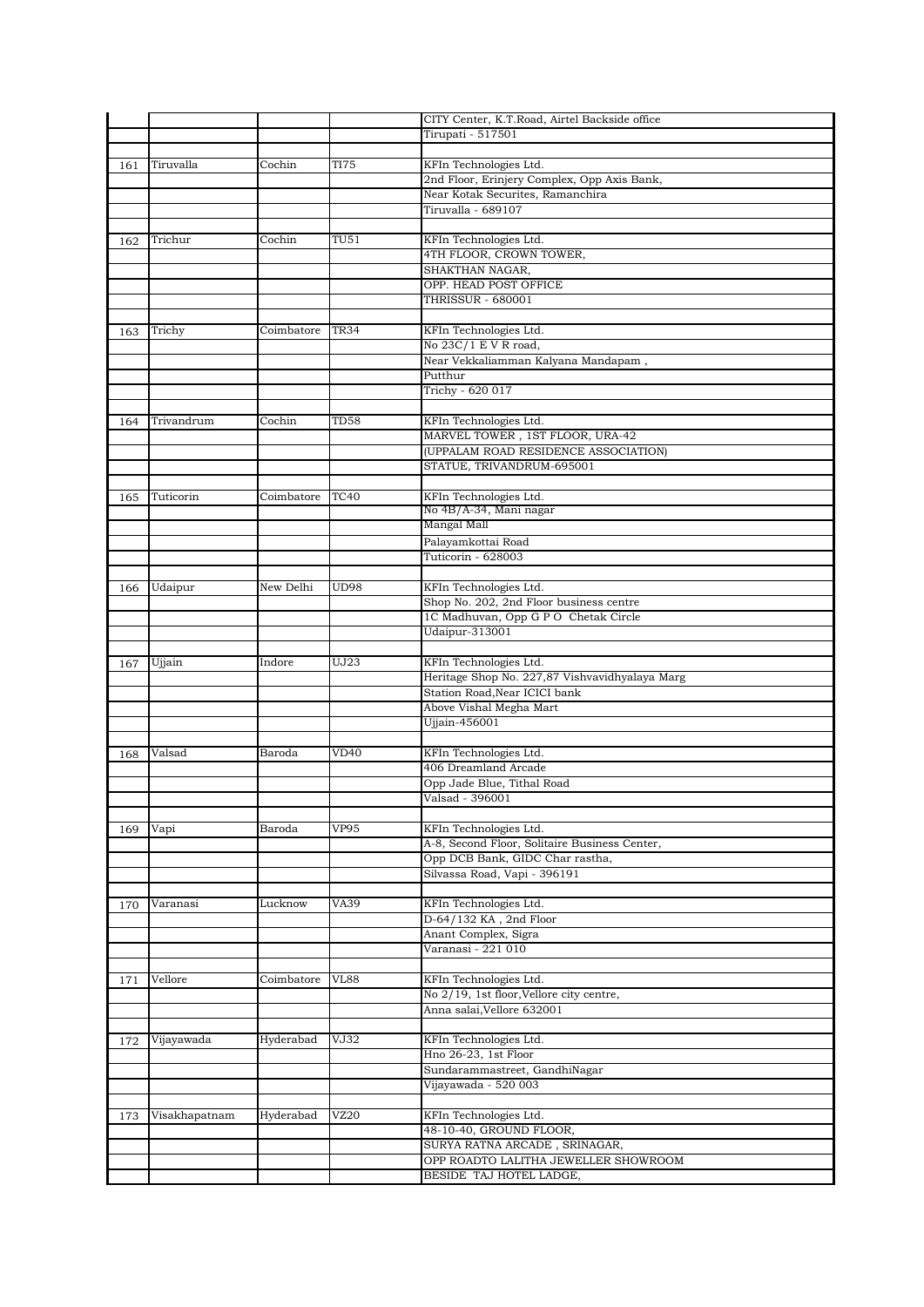|     |               |            |                           | CITY Center, K.T.Road, Airtel Backside office                   |
|-----|---------------|------------|---------------------------|-----------------------------------------------------------------|
|     |               |            |                           | Tirupati - 517501                                               |
|     |               |            |                           |                                                                 |
| 161 | Tiruvalla     | Cochin     | <b>TI75</b>               | KFIn Technologies Ltd.                                          |
|     |               |            |                           | 2nd Floor, Erinjery Complex, Opp Axis Bank,                     |
|     |               |            |                           | Near Kotak Securites, Ramanchira                                |
|     |               |            |                           | Tiruvalla - 689107                                              |
|     |               |            |                           |                                                                 |
| 162 | Trichur       | Cochin     | TU51                      | KFIn Technologies Ltd.                                          |
|     |               |            |                           | 4TH FLOOR, CROWN TOWER,                                         |
|     |               |            |                           | SHAKTHAN NAGAR,                                                 |
|     |               |            |                           | OPP. HEAD POST OFFICE                                           |
|     |               |            |                           | <b>THRISSUR - 680001</b>                                        |
|     |               |            |                           |                                                                 |
| 163 | Trichy        | Coimbatore | <b>TR34</b>               | KFIn Technologies Ltd.                                          |
|     |               |            |                           | No 23C/1 E V R road,                                            |
|     |               |            |                           | Near Vekkaliamman Kalyana Mandapam,                             |
|     |               |            |                           | Putthur                                                         |
|     |               |            |                           | Trichy - 620 017                                                |
|     |               |            |                           |                                                                 |
| 164 | Trivandrum    | Cochin     | TD58                      | KFIn Technologies Ltd.                                          |
|     |               |            |                           | MARVEL TOWER, 1ST FLOOR, URA-42                                 |
|     |               |            |                           | (UPPALAM ROAD RESIDENCE ASSOCIATION)                            |
|     |               |            |                           | STATUE, TRIVANDRUM-695001                                       |
|     |               |            |                           |                                                                 |
| 165 | Tuticorin     | Coimbatore | <b>TC40</b>               | KFIn Technologies Ltd.                                          |
|     |               |            |                           | No 4B/A-34, Mani nagar                                          |
|     |               |            |                           | Mangal Mall                                                     |
|     |               |            |                           | Palayamkottai Road                                              |
|     |               |            |                           | Tuticorin - 628003                                              |
|     |               |            |                           |                                                                 |
| 166 | Udaipur       | New Delhi  | <b>UD98</b>               | KFIn Technologies Ltd.                                          |
|     |               |            |                           | Shop No. 202, 2nd Floor business centre                         |
|     |               |            |                           | 1C Madhuvan, Opp G P O Chetak Circle                            |
|     |               |            |                           | Udaipur-313001                                                  |
|     |               |            |                           |                                                                 |
|     |               |            |                           |                                                                 |
| 167 | Ujjain        | Indore     | UJ23                      | KFIn Technologies Ltd.                                          |
|     |               |            |                           | Heritage Shop No. 227,87 Vishvavidhyalaya Marg                  |
|     |               |            |                           | Station Road, Near ICICI bank                                   |
|     |               |            |                           | Above Vishal Megha Mart                                         |
|     |               |            |                           | Ujjain-456001                                                   |
|     |               |            |                           |                                                                 |
| 168 | Valsad        | Baroda     | VD40                      | KFIn Technologies Ltd.                                          |
|     |               |            |                           | 406 Dreamland Arcade                                            |
|     |               |            |                           | Opp Jade Blue, Tithal Road                                      |
|     |               |            |                           | Valsad - 396001                                                 |
|     |               |            |                           |                                                                 |
| 169 | Vapi          | Baroda     | <b>VP95</b>               | KFIn Technologies Ltd.                                          |
|     |               |            |                           | A-8, Second Floor, Solitaire Business Center,                   |
|     |               |            |                           | Opp DCB Bank, GIDC Char rastha,                                 |
|     |               |            |                           | Silvassa Road, Vapi - 396191                                    |
|     |               |            |                           |                                                                 |
| 170 | Varanasi      | Lucknow    | VA39                      | KFIn Technologies Ltd.                                          |
|     |               |            |                           | D-64/132 KA, 2nd Floor                                          |
|     |               |            |                           | Anant Complex, Sigra                                            |
|     |               |            |                           | Varanasi - 221 010                                              |
|     |               |            |                           |                                                                 |
| 171 | Vellore       | Coimbatore | $\overline{\text{VL}}$ 88 | KFIn Technologies Ltd.                                          |
|     |               |            |                           | No 2/19, 1st floor, Vellore city centre,                        |
|     |               |            |                           | Anna salai, Vellore 632001                                      |
|     |               |            |                           |                                                                 |
| 172 | Vijayawada    | Hyderabad  | VJ32                      | KFIn Technologies Ltd.                                          |
|     |               |            |                           | Hno 26-23, 1st Floor                                            |
|     |               |            |                           | Sundarammastreet, GandhiNagar                                   |
|     |               |            |                           | Vijayawada - 520 003                                            |
|     |               |            |                           |                                                                 |
| 173 | Visakhapatnam | Hyderabad  | VZ20                      | KFIn Technologies Ltd.                                          |
|     |               |            |                           | 48-10-40, GROUND FLOOR,                                         |
|     |               |            |                           | SURYA RATNA ARCADE, SRINAGAR,                                   |
|     |               |            |                           | OPP ROADTO LALITHA JEWELLER SHOWROOM<br>BESIDE TAJ HOTEL LADGE, |